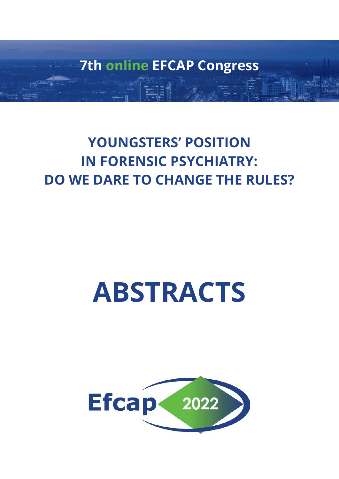**7th online EFCAP Congress**

## **YOUNGSTERS' POSITION IN FORENSIC PSYCHIATRY: DO WE DARE TO CHANGE THE RULES?**

# **ABSTRACTS**

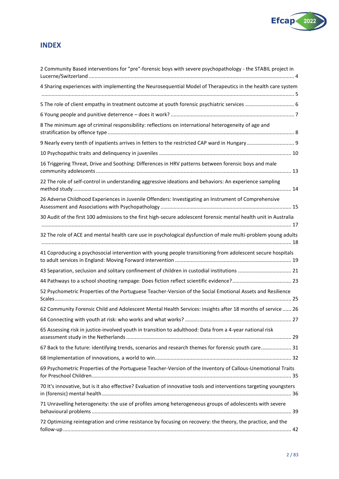

## **INDEX**

| 2 Community Based interventions for "pre"-forensic boys with severe psychopathology - the STABIL project in         |
|---------------------------------------------------------------------------------------------------------------------|
| 4 Sharing experiences with implementing the Neurosequential Model of Therapeutics in the health care system         |
| 5 The role of client empathy in treatment outcome at youth forensic psychiatric services  6                         |
|                                                                                                                     |
| 8 The minimum age of criminal responsibility: reflections on international heterogeneity of age and                 |
|                                                                                                                     |
|                                                                                                                     |
| 16 Triggering Threat, Drive and Soothing: Differences in HRV patterns between forensic boys and male                |
| 22 The role of self-control in understanding aggressive ideations and behaviors: An experience sampling             |
| 26 Adverse Childhood Experiences in Juvenile Offenders: Investigating an Instrument of Comprehensive                |
| 30 Audit of the first 100 admissions to the first high-secure adolescent forensic mental health unit in Australia   |
| 32 The role of ACE and mental health care use in psychological dysfunction of male multi-problem young adults       |
| 41 Coproducing a psychosocial intervention with young people transitioning from adolescent secure hospitals         |
| 43 Separation, seclusion and solitary confinement of children in custodial institutions  21                         |
|                                                                                                                     |
| 52 Psychometric Properties of the Portuguese Teacher-Version of the Social Emotional Assets and Resilience<br>25    |
| 62 Community Forensic Child and Adolescent Mental Health Services: insights after 18 months of service  26          |
|                                                                                                                     |
| 65 Assessing risk in justice-involved youth in transition to adulthood: Data from a 4-year national risk            |
| 67 Back to the future: identifying trends, scenarios and research themes for forensic youth care 31                 |
|                                                                                                                     |
| 69 Psychometric Properties of the Portuguese Teacher-Version of the Inventory of Callous-Unemotional Traits         |
| 70 It's innovative, but is it also effective? Evaluation of innovative tools and interventions targeting youngsters |
| 71 Unravelling heterogeneity: the use of profiles among heterogeneous groups of adolescents with severe             |
| 72 Optimizing reintegration and crime resistance by focusing on recovery: the theory, the practice, and the         |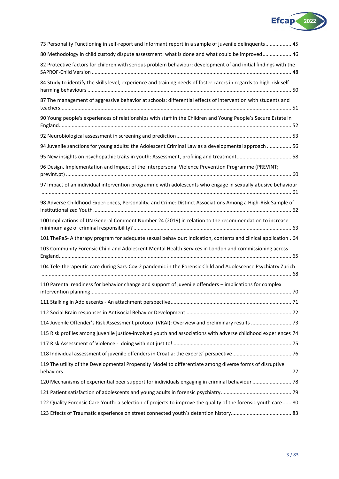

<span id="page-2-0"></span>

| 73 Personality Functioning in self-report and informant report in a sample of juvenile delinquents 45               |
|---------------------------------------------------------------------------------------------------------------------|
| 80 Methodology in child custody dispute assessment: what is done and what could be improved 46                      |
| 82 Protective factors for children with serious problem behaviour: development of and initial findings with the     |
| 84 Study to identify the skills level, experience and training needs of foster carers in regards to high-risk self- |
| 87 The management of aggressive behavior at schools: differential effects of intervention with students and         |
| 90 Young people's experiences of relationships with staff in the Children and Young People's Secure Estate in       |
|                                                                                                                     |
| 94 Juvenile sanctions for young adults: the Adolescent Criminal Law as a developmental approach  56                 |
| 95 New insights on psychopathic traits in youth: Assessment, profiling and treatment 58                             |
| 96 Design, Implementation and Impact of the Interpersonal Violence Prevention Programme (PREVINT;                   |
| 97 Impact of an individual intervention programme with adolescents who engage in sexually abusive behaviour         |
| 98 Adverse Childhood Experiences, Personality, and Crime: Distinct Associations Among a High-Risk Sample of         |
| 100 Implications of UN General Comment Number 24 (2019) in relation to the recommendation to increase               |
| 101 ThePaS- A therapy program for adequate sexual behaviour: indication, contents and clinical application . 64     |
| 103 Community Forensic Child and Adolescent Mental Health Services in London and commissioning across               |
| 104 Tele-therapeutic care during Sars-Cov-2 pandemic in the Forensic Child and Adolescence Psychiatry Zurich        |
| 110 Parental readiness for behavior change and support of juvenile offenders - implications for complex             |
|                                                                                                                     |
|                                                                                                                     |
| 114 Juvenile Offender's Risk Assessment protocol (VRAI): Overview and preliminary results  73                       |
| 115 Risk profiles among juvenile justice-involved youth and associations with adverse childhood experiences 74      |
|                                                                                                                     |
|                                                                                                                     |
| 119 The utility of the Developmental Propensity Model to differentiate among diverse forms of disruptive            |
| 120 Mechanisms of experiential peer support for individuals engaging in criminal behaviour  78                      |
|                                                                                                                     |
| 122 Quality Forensic Care-Youth: a selection of projects to improve the quality of the forensic youth care  80      |
|                                                                                                                     |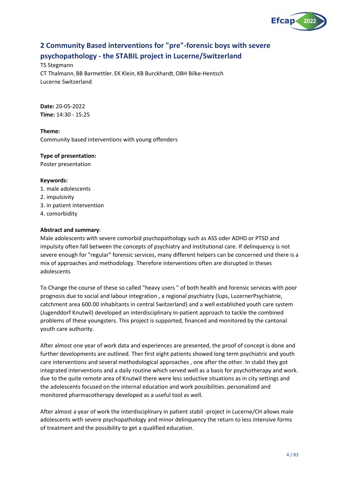

## **2 Community Based interventions for "pre"-forensic boys with severe psychopathology - the STABIL project in Lucerne/Switzerland**

TS Stegmann CT Thalmann, BB Barmettler, EK Klein, KB Burckhardt, OBH Bilke-Hentsch Lucerne Switzerland

**Date:** 20-05-2022 **Time:** 14:30 - 15:25

## **Theme:**

Community based interventions with young offenders

## **Type of presentation:**

Poster presentation

## **Keywords:**

- 1. male adolescents
- 2. impulsivity
- 3. in patient intervention
- 4. comorbidity

## **Abstract and summary**:

Male adolescents with severe comorbid psychopathology such as ASS oder ADHD or PTSD and impulsity often fall between the concepts of psychiatry and institutional care. If delinquency is not severe enough for "regular" forensic services, many different helpers can be concerned und there is a mix of approaches and methodology. Therefore interventions often are disrupted in theses adolescents

To Change the course of these so called "heavy users " of both health and forensic services with poor prognosis due to social and labour integration , a regional psychiatry (lups, LuzernerPsychiatrie, catchment area 600.00 inhabitants in central Switzerland) and a well established youth care system (Jugenddorf Knutwil) developed an interdisciplinary in-patient approach to tackle the combined problems of these youngsters. This project is supported, financed and monitored by the cantonal youth care authority.

After almost one year of work data and experiences are presented, the proof of concept is done and further developments are outlined. Ther first eight patients showed long term psychiatric and youth care interventions and several methodological approaches , one after the other. In stabil they got integrated interventions and a daily routine which served well as a basis for psychotherapy and work. due to the quite remote area of Knutwil there were less seductive situations as in city settings and the adolescents focused on the internal education and work possibilities. personalized and monitored pharmacotherapy developed as a useful tool as well.

After almost a year of work the interdisciplinary in patient stabil -project in Lucerne/CH allows male adolescents with severe psychopathology and minor delinquency the return to less intensive forms of treatment and the possibility to get a qualified education.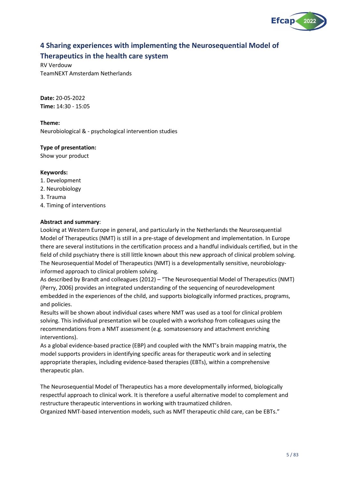

## <span id="page-4-0"></span>**4 Sharing experiences with implementing the Neurosequential Model of Therapeutics in the health care system**

RV Verdouw TeamNEXT Amsterdam Netherlands

**Date:** 20-05-2022 **Time:** 14:30 - 15:05

**Theme:** Neurobiological & - psychological intervention studies

**Type of presentation:**

Show your product

## **Keywords:**

- 1. Development
- 2. Neurobiology
- 3. Trauma
- 4. Timing of interventions

## **Abstract and summary**:

Looking at Western Europe in general, and particularly in the Netherlands the Neurosequential Model of Therapeutics (NMT) is still in a pre-stage of development and implementation. In Europe there are several institutions in the certification process and a handful individuals certified, but in the field of child psychiatry there is still little known about this new approach of clinical problem solving. The Neurosequential Model of Therapeutics (NMT) is a developmentally sensitive, neurobiologyinformed approach to clinical problem solving.

As described by Brandt and colleagues (2012) – "The Neurosequential Model of Therapeutics (NMT) (Perry, 2006) provides an integrated understanding of the sequencing of neurodevelopment embedded in the experiences of the child, and supports biologically informed practices, programs, and policies.

Results will be shown about individual cases where NMT was used as a tool for clinical problem solving. This individual presentation wil be coupled with a workshop from colleagues using the recommendations from a NMT assessment (e.g. somatosensory and attachment enriching interventions).

As a global evidence-based practice (EBP) and coupled with the NMT's brain mapping matrix, the model supports providers in identifying specific areas for therapeutic work and in selecting appropriate therapies, including evidence-based therapies (EBTs), within a comprehensive therapeutic plan.

The Neurosequential Model of Therapeutics has a more developmentally informed, biologically respectful approach to clinical work. It is therefore a useful alternative model to complement and restructure therapeutic interventions in working with traumatized children.

Organized NMT-based intervention models, such as NMT therapeutic child care, can be EBTs."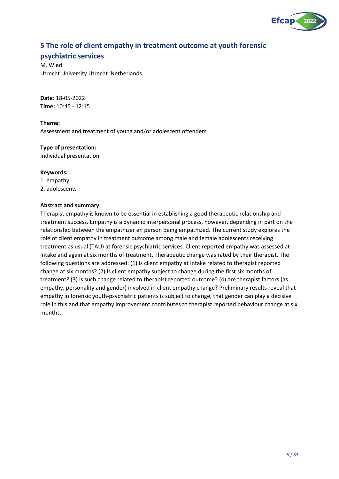

## <span id="page-5-0"></span>**5 The role of client empathy in treatment outcome at youth forensic**

## **psychiatric services**

M. Wied Utrecht University Utrecht Netherlands

**Date:** 18-05-2022 **Time:** 10:45 - 12:15

**Theme:** Assessment and treatment of young and/or adolescent offenders

## **Type of presentation:**

Individual presentation

## **Keywords:**

- 1. empathy
- 2. adolescents

## **Abstract and summary**:

Therapist empathy is known to be essential in establishing a good therapeutic relationship and treatment success. Empathy is a dynamic interpersonal process, however, depending in part on the relationship between the empathizer en person being empathized. The current study explores the role of client empathy in treatment outcome among male and female adolescents receiving treatment as usual (TAU) at forensic psychiatric services. Client reported empathy was assessed at intake and again at six months of treatment. Therapeutic change was rated by their therapist. The following questions are addressed: (1) is client empathy at intake related to therapist reported change at six months? (2) Is client empathy subject to change during the first six months of treatment? (3) Is such change related to therapist reported outcome? (4) are therapist factors (as empathy, personality and gender) involved in client empathy change? Preliminary results reveal that empathy in forensic youth-psychiatric patients is subject to change, that gender can play a decisive role in this and that empathy improvement contributes to therapist reported behaviour change at six months.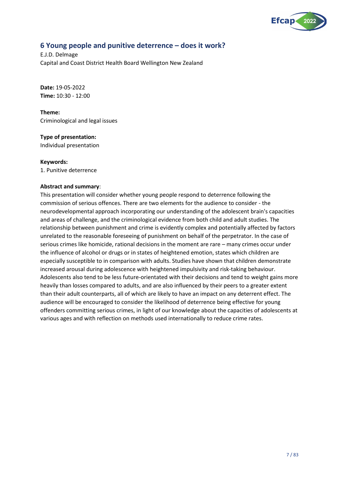

## <span id="page-6-0"></span>**6 Young people and punitive deterrence – does it work?**

E.J.D. Delmage Capital and Coast District Health Board Wellington New Zealand

**Date:** 19-05-2022 **Time:** 10:30 - 12:00

**Theme:** Criminological and legal issues

**Type of presentation:**

Individual presentation

## **Keywords:**

1. Punitive deterrence

## **Abstract and summary**:

This presentation will consider whether young people respond to deterrence following the commission of serious offences. There are two elements for the audience to consider - the neurodevelopmental approach incorporating our understanding of the adolescent brain's capacities and areas of challenge, and the criminological evidence from both child and adult studies. The relationship between punishment and crime is evidently complex and potentially affected by factors unrelated to the reasonable foreseeing of punishment on behalf of the perpetrator. In the case of serious crimes like homicide, rational decisions in the moment are rare – many crimes occur under the influence of alcohol or drugs or in states of heightened emotion, states which children are especially susceptible to in comparison with adults. Studies have shown that children demonstrate increased arousal during adolescence with heightened impulsivity and risk-taking behaviour. Adolescents also tend to be less future-orientated with their decisions and tend to weight gains more heavily than losses compared to adults, and are also influenced by their peers to a greater extent than their adult counterparts, all of which are likely to have an impact on any deterrent effect. The audience will be encouraged to consider the likelihood of deterrence being effective for young offenders committing serious crimes, in light of our knowledge about the capacities of adolescents at various ages and with reflection on methods used internationally to reduce crime rates.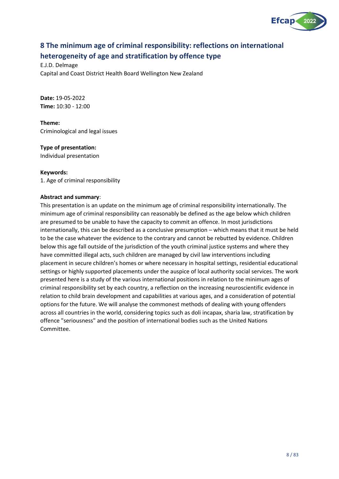

## <span id="page-7-0"></span>**8 The minimum age of criminal responsibility: reflections on international heterogeneity of age and stratification by offence type**

E.J.D. Delmage Capital and Coast District Health Board Wellington New Zealand

**Date:** 19-05-2022 **Time:** 10:30 - 12:00

**Theme:** Criminological and legal issues

**Type of presentation:**

Individual presentation

**Keywords:** 1. Age of criminal responsibility

## **Abstract and summary**:

This presentation is an update on the minimum age of criminal responsibility internationally. The minimum age of criminal responsibility can reasonably be defined as the age below which children are presumed to be unable to have the capacity to commit an offence. In most jurisdictions internationally, this can be described as a conclusive presumption – which means that it must be held to be the case whatever the evidence to the contrary and cannot be rebutted by evidence. Children below this age fall outside of the jurisdiction of the youth criminal justice systems and where they have committed illegal acts, such children are managed by civil law interventions including placement in secure children's homes or where necessary in hospital settings, residential educational settings or highly supported placements under the auspice of local authority social services. The work presented here is a study of the various international positions in relation to the minimum ages of criminal responsibility set by each country, a reflection on the increasing neuroscientific evidence in relation to child brain development and capabilities at various ages, and a consideration of potential options for the future. We will analyse the commonest methods of dealing with young offenders across all countries in the world, considering topics such as doli incapax, sharia law, stratification by offence "seriousness" and the position of international bodies such as the United Nations Committee.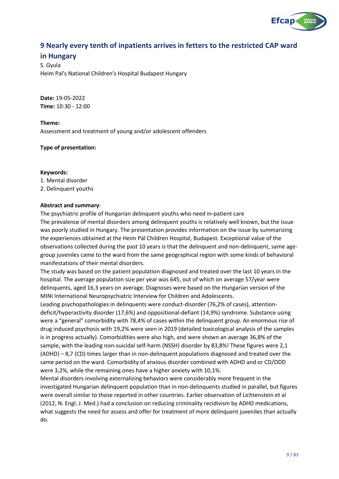

## <span id="page-8-0"></span>**9 Nearly every tenth of inpatients arrives in fetters to the restricted CAP ward**

## **in Hungary**

S. Gyula Heim Pal's National Children's Hospital Budapest Hungary

**Date:** 19-05-2022 **Time:** 10:30 - 12:00

**Theme:** Assessment and treatment of young and/or adolescent offenders

**Type of presentation:**

#### **Keywords:**

- 1. Mental disorder
- 2. Delinquent youths

## **Abstract and summary**:

The psychiatric profile of Hungarian delinquent youths who need in-patient care The prevalence of mental disorders among delinquent youths is relatively well known, but the issue was poorly studied in Hungary. The presentation provides information on the issue by summarizing the experiences obtained at the Heim Pál Children Hospital, Budapest. Exceptional value of the observations collected during the past 10 years is that the delinquent and non-delinquent, same agegroup juveniles came to the ward from the same geographical region with some kinds of behavioral manifestations of their mental disorders.

The study was based on the patient population diagnosed and treated over the last 10 years in the hospital. The average population size per year was 645, out of which on average 57/year were delinquents, aged 16,3 years on average. Diagnoses were based on the Hungarian version of the MINI International Neuropsychiatric Interview for Children and Adolescents.

Leading psychopathologies in delinquents were conduct-disorder (76,2% of cases), attentiondeficit/hyperactivity disorder (17,6%) and oppositional-defiant (14,9%) syndrome. Substance using were a "general" comorbidity with 78,4% of cases within the delinquent group. An enormous rise of drug induced psychosis with 19,2% were seen in 2019 (detailed toxicological analysis of the samples is in progress actually). Comorbidities were also high, and were shown an average 36,8% of the sample, with the leading non-suicidal self-harm (NSSH) disorder by 83,8%! These figures were 2,1 (ADHD) – 8,7 (CD) times larger than in non-delinquent populations diagnosed and treated over the same period on the ward. Comorbidity of anxious disorder combined with ADHD and or CD/ODD were 3,2%, while the remaining ones have a higher anxiety with 10,1%.

Mental disorders involving externalizing behaviors were considerably more frequent in the investigated Hungarian delinquent population than in non-delinquents studied in parallel, but figures were overall similar to those reported in other countries. Earlier observation of Lichtenstein et al (2012, N. Engl. J. Med.) had a conclusion on reducing criminality recidivism by ADHD medications, what suggests the need for assess and offer for treatment of more delinquent juveniles than actually do.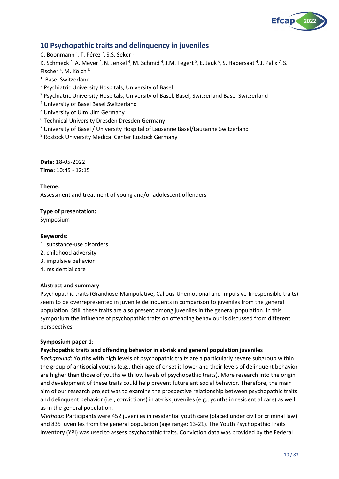

## <span id="page-9-0"></span>**10 Psychopathic traits and delinquency in juveniles**

C. Boonmann <sup>1</sup>, T. Pérez <sup>2</sup>, S.S. Seker <sup>3</sup> K. Schmeck<sup>4</sup>, A. Meyer<sup>4</sup>, N. Jenkel<sup>4</sup>, M. Schmid<sup>4</sup>, J.M. Fegert<sup>5</sup>, E. Jauk<sup>6</sup>, S. Habersaat<sup>4</sup>, J. Palix<sup>7</sup>, S. Fischer<sup>4</sup>, M. Kölch<sup>8</sup>

1 Basel Switzerland

<sup>2</sup> Psychiatric University Hospitals, University of Basel

<sup>3</sup> Psychiatric University Hospitals, University of Basel, Basel, Switzerland Basel Switzerland

<sup>4</sup> University of Basel Basel Switzerland

<sup>5</sup> University of Ulm Ulm Germany

<sup>6</sup> Technical University Dresden Dresden Germany

 $7$  University of Basel / University Hospital of Lausanne Basel/Lausanne Switzerland

<sup>8</sup> Rostock University Medical Center Rostock Germany

**Date:** 18-05-2022 **Time:** 10:45 - 12:15

**Theme:**

Assessment and treatment of young and/or adolescent offenders

## **Type of presentation:**

Symposium

## **Keywords:**

- 1. substance-use disorders
- 2. childhood adversity
- 3. impulsive behavior
- 4. residential care

## **Abstract and summary**:

Psychopathic traits (Grandiose-Manipulative, Callous-Unemotional and Impulsive-Irresponsible traits) seem to be overrepresented in juvenile delinquents in comparison to juveniles from the general population. Still, these traits are also present among juveniles in the general population. In this symposium the influence of psychopathic traits on offending behaviour is discussed from different perspectives.

## **Symposium paper 1**:

## **Psychopathic traits and offending behavior in at-risk and general population juveniles**

*Background*: Youths with high levels of psychopathic traits are a particularly severe subgroup within the group of antisocial youths (e.g., their age of onset is lower and their levels of delinquent behavior are higher than those of youths with low levels of psychopathic traits). More research into the origin and development of these traits could help prevent future antisocial behavior. Therefore, the main aim of our research project was to examine the prospective relationship between psychopathic traits and delinquent behavior (i.e., convictions) in at-risk juveniles (e.g., youths in residential care) as well as in the general population.

*Methods*: Participants were 452 juveniles in residential youth care (placed under civil or criminal law) and 835 juveniles from the general population (age range: 13-21). The Youth Psychopathic Traits Inventory (YPI) was used to assess psychopathic traits. Conviction data was provided by the Federal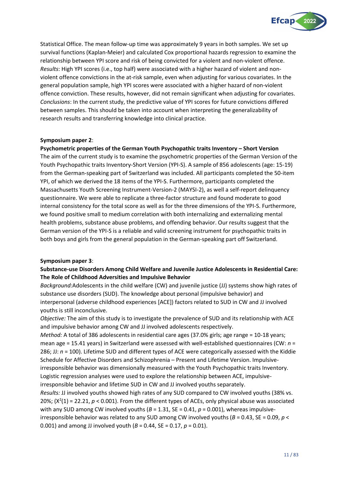

Statistical Office. The mean follow-up time was approximately 9 years in both samples. We set up survival functions (Kaplan-Meier) and calculated Cox proportional hazards regression to examine the relationship between YPI score and risk of being convicted for a violent and non-violent offence. *Results*: High YPI scores (i.e., top half) were associated with a higher hazard of violent and nonviolent offence convictions in the at-risk sample, even when adjusting for various covariates. In the general population sample, high YPI scores were associated with a higher hazard of non-violent offence conviction. These results, however, did not remain significant when adjusting for covariates. *Conclusions*: In the current study, the predictive value of YPI scores for future convictions differed between samples. This should be taken into account when interpreting the generalizability of research results and transferring knowledge into clinical practice.

## **Symposium paper 2**:

**Psychometric properties of the German Youth Psychopathic traits Inventory – Short Version** The aim of the current study is to examine the psychometric properties of the German Version of the Youth Psychopathic traits Inventory-Short Version (YPI-S). A sample of 856 adolescents (age: 15-19) from the German-speaking part of Switzerland was included. All participants completed the 50-item YPI, of which we derived the 18 items of the YPI-S. Furthermore, participants completed the Massachusetts Youth Screening Instrument-Version-2 (MAYSI-2), as well a self-report delinquency questionnaire. We were able to replicate a three-factor structure and found moderate to good internal consistency for the total score as well as for the three dimensions of the YPI-S. Furthermore, we found positive small to medium correlation with both internalizing and externalizing mental health problems, substance abuse problems, and offending behavior. Our results suggest that the German version of the YPI-S is a reliable and valid screening instrument for psychopathic traits in both boys and girls from the general population in the German-speaking part off Switzerland.

## **Symposium paper 3**:

## **Substance-use Disorders Among Child Welfare and Juvenile Justice Adolescents in Residential Care: The Role of Childhood Adversities and Impulsive Behavior**

*Background:*Adolescents in the child welfare (CW) and juvenile justice (JJ) systems show high rates of substance use disorders (SUD). The knowledge about personal (impulsive behavior) and interpersonal (adverse childhood experiences [ACE]) factors related to SUD in CW and JJ involved youths is still inconclusive.

*Objective:* The aim of this study is to investigate the prevalence of SUD and its relationship with ACE and impulsive behavior among CW and JJ involved adolescents respectively.

*Method:* A total of 386 adolescents in residential care ages (37.0% girls; age range = 10-18 years; mean age = 15.41 years) in Switzerland were assessed with well-established questionnaires (CW: *n* = 286; JJ: *n* = 100). Lifetime SUD and different types of ACE were categorically assessed with the Kiddie Schedule for Affective Disorders and Schizophrenia – Present and Lifetime Version. Impulsiveirresponsible behavior was dimensionally measured with the Youth Psychopathic traits Inventory. Logistic regression analyses were used to explore the relationship between ACE, impulsiveirresponsible behavior and lifetime SUD in CW and JJ involved youths separately.

*Results:* JJ involved youths showed high rates of any SUD compared to CW involved youths (38% vs. 20%;  $(X^2(1) = 22.21, p < 0.001)$ . From the different types of ACEs, only physical abuse was associated with any SUD among CW involved youths ( $B = 1.31$ , SE = 0.41,  $p = 0.001$ ), whereas impulsiveirresponsible behavior was related to any SUD among CW involved youths (*B* = 0.43, SE = 0.09, *p* < 0.001) and among JJ involved youth (*B* = 0.44, SE = 0.17, *p* = 0.01).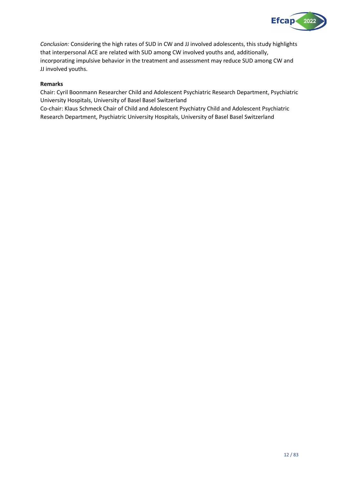

*Conclusion:* Considering the high rates of SUD in CW and JJ involved adolescents, this study highlights that interpersonal ACE are related with SUD among CW involved youths and, additionally, incorporating impulsive behavior in the treatment and assessment may reduce SUD among CW and JJ involved youths.

## **Remarks**

Chair: Cyril Boonmann Researcher Child and Adolescent Psychiatric Research Department, Psychiatric University Hospitals, University of Basel Basel Switzerland

Co-chair: Klaus Schmeck Chair of Child and Adolescent Psychiatry Child and Adolescent Psychiatric Research Department, Psychiatric University Hospitals, University of Basel Basel Switzerland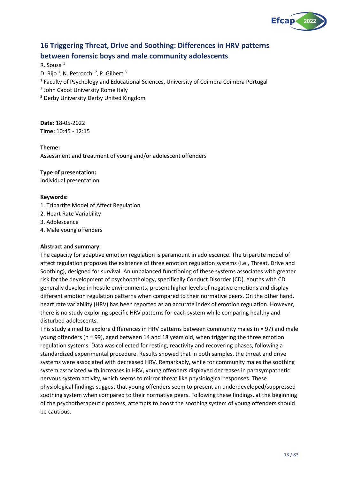

## <span id="page-12-0"></span>**16 Triggering Threat, Drive and Soothing: Differences in HRV patterns between forensic boys and male community adolescents**

## R. Sousa <sup>1</sup>

D. Rijo <sup>1</sup>, N. Petrocchi <sup>2</sup>, P. Gilbert <sup>3</sup>

- <sup>1</sup> Faculty of Psychology and Educational Sciences, University of Coimbra Coimbra Portugal
- <sup>2</sup> John Cabot University Rome Italy
- <sup>3</sup> Derby University Derby United Kingdom

**Date:** 18-05-2022 **Time:** 10:45 - 12:15

## **Theme:**

Assessment and treatment of young and/or adolescent offenders

## **Type of presentation:**

Individual presentation

## **Keywords:**

- 1. Tripartite Model of Affect Regulation
- 2. Heart Rate Variability
- 3. Adolescence
- 4. Male young offenders

## **Abstract and summary**:

The capacity for adaptive emotion regulation is paramount in adolescence. The tripartite model of affect regulation proposes the existence of three emotion regulation systems (i.e., Threat, Drive and Soothing), designed for survival. An unbalanced functioning of these systems associates with greater risk for the development of psychopathology, specifically Conduct Disorder (CD). Youths with CD generally develop in hostile environments, present higher levels of negative emotions and display different emotion regulation patterns when compared to their normative peers. On the other hand, heart rate variability (HRV) has been reported as an accurate index of emotion regulation. However, there is no study exploring specific HRV patterns for each system while comparing healthy and disturbed adolescents.

This study aimed to explore differences in HRV patterns between community males (n = 97) and male young offenders (n = 99), aged between 14 and 18 years old, when triggering the three emotion regulation systems. Data was collected for resting, reactivity and recovering phases, following a standardized experimental procedure. Results showed that in both samples, the threat and drive systems were associated with decreased HRV. Remarkably, while for community males the soothing system associated with increases in HRV, young offenders displayed decreases in parasympathetic nervous system activity, which seems to mirror threat like physiological responses. These physiological findings suggest that young offenders seem to present an underdeveloped/suppressed soothing system when compared to their normative peers. Following these findings, at the beginning of the psychotherapeutic process, attempts to boost the soothing system of young offenders should be cautious.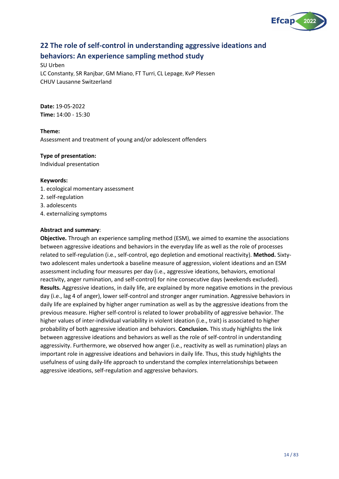

## <span id="page-13-0"></span>**22 The role of self-control in understanding aggressive ideations and behaviors: An experience sampling method study**

SU Urben LC Constanty, SR Ranjbar, GM Miano, FT Turri, CL Lepage, KvP Plessen CHUV Lausanne Switzerland

**Date:** 19-05-2022 **Time:** 14:00 - 15:30

**Theme:** Assessment and treatment of young and/or adolescent offenders

## **Type of presentation:**

Individual presentation

## **Keywords:**

- 1. ecological momentary assessment
- 2. self-regulation
- 3. adolescents
- 4. externalizing symptoms

## **Abstract and summary**:

**Objective.** Through an experience sampling method (ESM), we aimed to examine the associations between aggressive ideations and behaviors in the everyday life as well as the role of processes related to self-regulation (i.e., self-control, ego depletion and emotional reactivity). **Method.** Sixtytwo adolescent males undertook a baseline measure of aggression, violent ideations and an ESM assessment including four measures per day (i.e., aggressive ideations, behaviors, emotional reactivity, anger rumination, and self-control) for nine consecutive days (weekends excluded). **Results.** Aggressive ideations, in daily life, are explained by more negative emotions in the previous day (i.e., lag 4 of anger), lower self-control and stronger anger rumination. Aggressive behaviors in daily life are explained by higher anger rumination as well as by the aggressive ideations from the previous measure. Higher self-control is related to lower probability of aggressive behavior. The higher values of inter-individual variability in violent ideation (i.e., trait) is associated to higher probability of both aggressive ideation and behaviors. **Conclusion.** This study highlights the link between aggressive ideations and behaviors as well as the role of self-control in understanding aggressivity. Furthermore, we observed how anger (i.e., reactivity as well as rumination) plays an important role in aggressive ideations and behaviors in daily life. Thus, this study highlights the usefulness of using daily-life approach to understand the complex interrelationships between aggressive ideations, self-regulation and aggressive behaviors.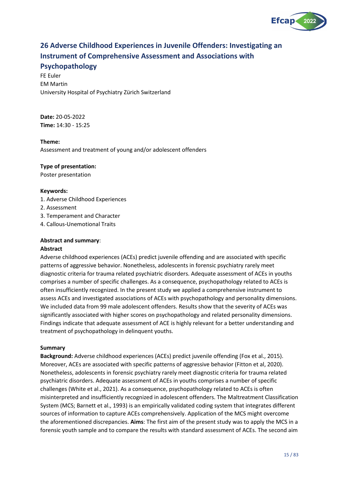

## <span id="page-14-0"></span>**26 Adverse Childhood Experiences in Juvenile Offenders: Investigating an Instrument of Comprehensive Assessment and Associations with**

## **Psychopathology**

FE Euler EM Martin University Hospital of Psychiatry Zürich Switzerland

**Date:** 20-05-2022 **Time:** 14:30 - 15:25

## **Theme:**

Assessment and treatment of young and/or adolescent offenders

## **Type of presentation:**

Poster presentation

## **Keywords:**

- 1. Adverse Childhood Experiences
- 2. Assessment
- 3. Temperament and Character
- 4. Callous-Unemotional Traits

## **Abstract and summary**:

## **Abstract**

Adverse childhood experiences (ACEs) predict juvenile offending and are associated with specific patterns of aggressive behavior. Nonetheless, adolescents in forensic psychiatry rarely meet diagnostic criteria for trauma related psychiatric disorders. Adequate assessment of ACEs in youths comprises a number of specific challenges. As a consequence, psychopathology related to ACEs is often insufficiently recognized. In the present study we applied a comprehensive instrument to assess ACEs and investigated associations of ACEs with psychopathology and personality dimensions. We included data from 99 male adolescent offenders. Results show that the severity of ACEs was significantly associated with higher scores on psychopathology and related personality dimensions. Findings indicate that adequate assessment of ACE is highly relevant for a better understanding and treatment of psychopathology in delinquent youths.

## **Summary**

**Background:** Adverse childhood experiences (ACEs) predict juvenile offending (Fox et al., 2015). Moreover, ACEs are associated with specific patterns of aggressive behavior (Fitton et al, 2020). Nonetheless, adolescents in forensic psychiatry rarely meet diagnostic criteria for trauma related psychiatric disorders. Adequate assessment of ACEs in youths comprises a number of specific challenges (White et al., 2021). As a consequence, psychopathology related to ACEs is often misinterpreted and insufficiently recognized in adolescent offenders. The Maltreatment Classification System (MCS; Barnett et al., 1993) is an empirically validated coding system that integrates different sources of information to capture ACEs comprehensively. Application of the MCS might overcome the aforementioned discrepancies. **Aims**: The first aim of the present study was to apply the MCS in a forensic youth sample and to compare the results with standard assessment of ACEs. The second aim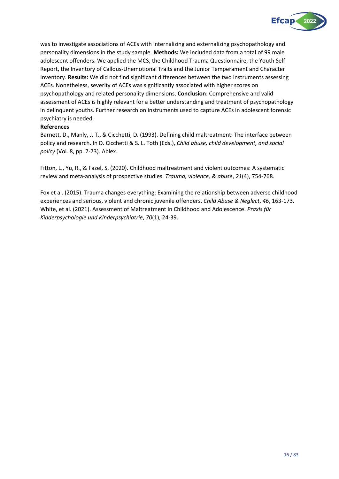

was to investigate associations of ACEs with internalizing and externalizing psychopathology and personality dimensions in the study sample. **Methods:** We included data from a total of 99 male adolescent offenders. We applied the MCS, the Childhood Trauma Questionnaire, the Youth Self Report, the Inventory of Callous-Unemotional Traits and the Junior Temperament and Character Inventory. **Results:** We did not find significant differences between the two instruments assessing ACEs. Nonetheless, severity of ACEs was significantly associated with higher scores on psychopathology and related personality dimensions. **Conclusion**: Comprehensive and valid assessment of ACEs is highly relevant for a better understanding and treatment of psychopathology in delinquent youths. Further research on instruments used to capture ACEs in adolescent forensic psychiatry is needed.

## **References**

Barnett, D., Manly, J. T., & Cicchetti, D. (1993). Defining child maltreatment: The interface between policy and research. In D. Cicchetti & S. L. Toth (Eds.), *Child abuse, child development, and social policy* (Vol. 8, pp. 7-73). Ablex.

Fitton, L., Yu, R., & Fazel, S. (2020). Childhood maltreatment and violent outcomes: A systematic review and meta-analysis of prospective studies. *Trauma, violence, & abuse*, *21*(4), 754-768.

Fox et al. (2015). Trauma changes everything: Examining the relationship between adverse childhood experiences and serious, violent and chronic juvenile offenders. *Child Abuse & Neglect*, *46*, 163-173. White, et al. (2021). Assessment of Maltreatment in Childhood and Adolescence. *Praxis für Kinderpsychologie und Kinderpsychiatrie*, *70*(1), 24-39.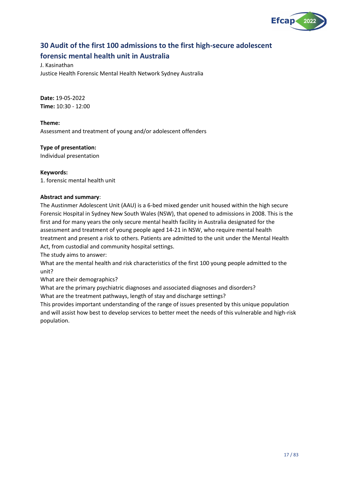

## <span id="page-16-0"></span>**30 Audit of the first 100 admissions to the first high-secure adolescent forensic mental health unit in Australia**

J. Kasinathan Justice Health Forensic Mental Health Network Sydney Australia

**Date:** 19-05-2022 **Time:** 10:30 - 12:00

**Theme:** Assessment and treatment of young and/or adolescent offenders

**Type of presentation:**

Individual presentation

**Keywords:**

1. forensic mental health unit

## **Abstract and summary**:

The Austinmer Adolescent Unit (AAU) is a 6-bed mixed gender unit housed within the high secure Forensic Hospital in Sydney New South Wales (NSW), that opened to admissions in 2008. This is the first and for many years the only secure mental health facility in Australia designated for the assessment and treatment of young people aged 14-21 in NSW, who require mental health treatment and present a risk to others. Patients are admitted to the unit under the Mental Health Act, from custodial and community hospital settings.

The study aims to answer:

What are the mental health and risk characteristics of the first 100 young people admitted to the unit?

What are their demographics?

What are the primary psychiatric diagnoses and associated diagnoses and disorders?

What are the treatment pathways, length of stay and discharge settings?

This provides important understanding of the range of issues presented by this unique population and will assist how best to develop services to better meet the needs of this vulnerable and high-risk population.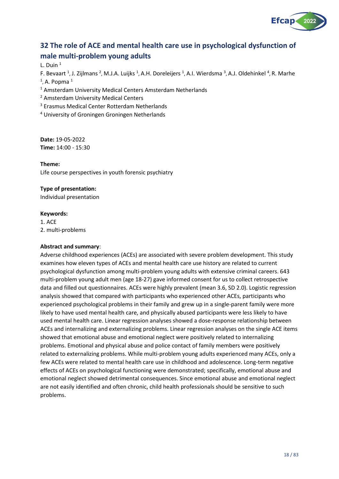

## <span id="page-17-0"></span>**32 The role of ACE and mental health care use in psychological dysfunction of male multi-problem young adults**

L. Duin  $1$ 

F. Bevaart <sup>1</sup>, J. Zijlmans <sup>2</sup>, M.J.A. Luijks <sup>1</sup>, A.H. Doreleijers <sup>1</sup>, A.I. Wierdsma <sup>3</sup>, A.J. Oldehinkel <sup>4</sup>, R. Marhe

 $<sup>1</sup>$ , A. Popma $<sup>1</sup>$ </sup></sup>

- <sup>1</sup> Amsterdam University Medical Centers Amsterdam Netherlands
- <sup>2</sup> Amsterdam University Medical Centers
- <sup>3</sup> Erasmus Medical Center Rotterdam Netherlands
- <sup>4</sup> University of Groningen Groningen Netherlands

**Date:** 19-05-2022 **Time:** 14:00 - 15:30

**Theme:**

Life course perspectives in youth forensic psychiatry

## **Type of presentation:**

Individual presentation

#### **Keywords:**

1. ACE 2. multi-problems

## **Abstract and summary**:

Adverse childhood experiences (ACEs) are associated with severe problem development. This study examines how eleven types of ACEs and mental health care use history are related to current psychological dysfunction among multi-problem young adults with extensive criminal careers. 643 multi-problem young adult men (age 18-27) gave informed consent for us to collect retrospective data and filled out questionnaires. ACEs were highly prevalent (mean 3.6, SD 2.0). Logistic regression analysis showed that compared with participants who experienced other ACEs, participants who experienced psychological problems in their family and grew up in a single-parent family were more likely to have used mental health care, and physically abused participants were less likely to have used mental health care. Linear regression analyses showed a dose-response relationship between ACEs and internalizing and externalizing problems. Linear regression analyses on the single ACE items showed that emotional abuse and emotional neglect were positively related to internalizing problems. Emotional and physical abuse and police contact of family members were positively related to externalizing problems. While multi-problem young adults experienced many ACEs, only a few ACEs were related to mental health care use in childhood and adolescence. Long-term negative effects of ACEs on psychological functioning were demonstrated; specifically, emotional abuse and emotional neglect showed detrimental consequences. Since emotional abuse and emotional neglect are not easily identified and often chronic, child health professionals should be sensitive to such problems.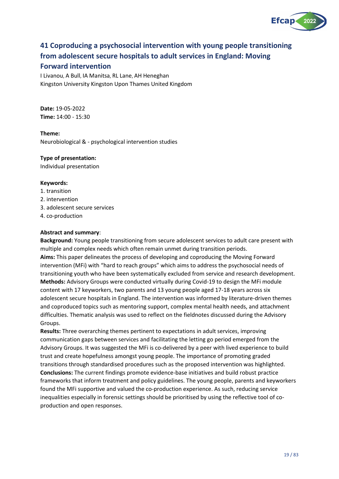

## <span id="page-18-0"></span>**41 Coproducing a psychosocial intervention with young people transitioning from adolescent secure hospitals to adult services in England: Moving**

## **Forward intervention**

I Livanou, A Bull, IA Manitsa, RL Lane, AH Heneghan Kingston University Kingston Upon Thames United Kingdom

**Date:** 19-05-2022 **Time:** 14:00 - 15:30

**Theme:** Neurobiological & - psychological intervention studies

## **Type of presentation:**

Individual presentation

## **Keywords:**

- 1. transition
- 2. intervention
- 3. adolescent secure services
- 4. co-production

## **Abstract and summary**:

**Background:** Young people transitioning from secure adolescent services to adult care present with multiple and complex needs which often remain unmet during transition periods. **Aims:** This paper delineates the process of developing and coproducing the Moving Forward intervention (MFi) with "hard to reach groups" which aims to address the psychosocial needs of transitioning youth who have been systematically excluded from service and research development. **Methods:** Advisory Groups were conducted virtually during Covid-19 to design the MFi module content with 17 keyworkers, two parents and 13 young people aged 17-18 years across six adolescent secure hospitals in England. The intervention was informed by literature-driven themes and coproduced topics such as mentoring support, complex mental health needs, and attachment difficulties. Thematic analysis was used to reflect on the fieldnotes discussed during the Advisory Groups.

**Results:** Three overarching themes pertinent to expectations in adult services, improving communication gaps between services and facilitating the letting go period emerged from the Advisory Groups. It was suggested the MFi is co-delivered by a peer with lived experience to build trust and create hopefulness amongst young people. The importance of promoting graded transitions through standardised procedures such as the proposed intervention was highlighted. **Conclusions:** The current findings promote evidence-base initiatives and build robust practice frameworks that inform treatment and policy guidelines. The young people, parents and keyworkers found the MFi supportive and valued the co-production experience. As such, reducing service inequalities especially in forensic settings should be prioritised by using the reflective tool of coproduction and open responses.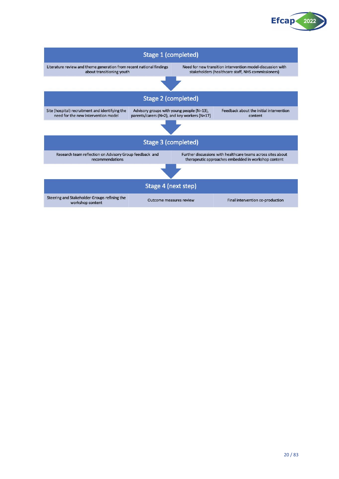

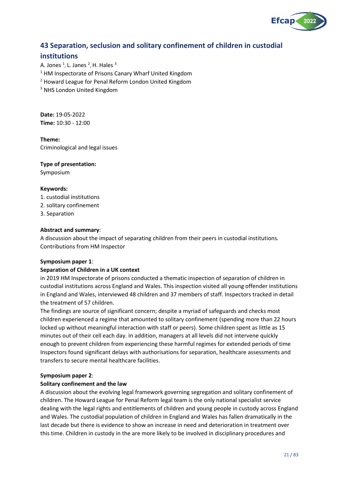

## <span id="page-20-0"></span>**43 Separation, seclusion and solitary confinement of children in custodial**

## **institutions**

A. Jones  $^1$ , L. Janes  $^2$ , H. Hales  $^3$ <sup>1</sup> HM Inspectorate of Prisons Canary Wharf United Kingdom <sup>2</sup> Howard League for Penal Reform London United Kingdom <sup>3</sup> NHS London United Kingdom

**Date:** 19-05-2022 **Time:** 10:30 - 12:00

**Theme:** Criminological and legal issues

## **Type of presentation:**

Symposium

## **Keywords:**

- 1. custodial institutions
- 2. solitary confinement
- 3. Separation

## **Abstract and summary**:

A discussion about the impact of separating children from their peers in custodial institutions. Contributions from HM Inspector

## **Symposium paper 1**:

## **Separation of Children in a UK context**

in 2019 HM Inspectorate of prisons conducted a thematic inspection of separation of children in custodial institutions across England and Wales. This inspection visited all young offender institutions in England and Wales, interviewed 48 children and 37 members of staff. Inspectors tracked in detail the treatment of 57 children.

The findings are source of significant concern; despite a myriad of safeguards and checks most children experienced a regime that amounted to solitary confinement (spending more than 22 hours locked up without meaningful interaction with staff or peers). Some children spent as little as 15 minutes out of their cell each day. In addition, managers at all levels did not intervene quickly enough to prevent children from experiencing these harmful regimes for extended periods of time Inspectors found significant delays with authorisations for separation, healthcare assessments and transfers to secure mental healthcare facilities.

## **Symposium paper 2**:

## **Solitary confinement and the law**

A discussion about the evolving legal framework governing segregation and solitary confinement of children. The Howard League for Penal Reform legal team is the only national specialist service dealing with the legal rights and entitlements of children and young people in custody across England and Wales. The custodial population of children in England and Wales has fallen dramatically in the last decade but there is evidence to show an increase in need and deterioration in treatment over this time. Children in custody in the are more likely to be involved in disciplinary procedures and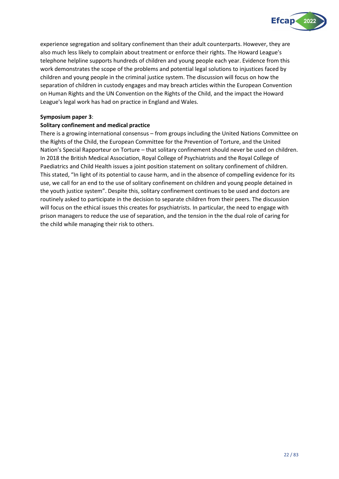

experience segregation and solitary confinement than their adult counterparts. However, they are also much less likely to complain about treatment or enforce their rights. The Howard League's telephone helpline supports hundreds of children and young people each year. Evidence from this work demonstrates the scope of the problems and potential legal solutions to injustices faced by children and young people in the criminal justice system. The discussion will focus on how the separation of children in custody engages and may breach articles within the European Convention on Human Rights and the UN Convention on the Rights of the Child, and the impact the Howard League's legal work has had on practice in England and Wales.

## **Symposium paper 3**:

## **Solitary confinement and medical practice**

There is a growing international consensus – from groups including the United Nations Committee on the Rights of the Child, the European Committee for the Prevention of Torture, and the United Nation's Special Rapporteur on Torture – that solitary confinement should never be used on children. In 2018 the British Medical Association, Royal College of Psychiatrists and the Royal College of Paediatrics and Child Health issues a joint position statement on solitary confinement of children. This stated, "In light of its potential to cause harm, and in the absence of compelling evidence for its use, we call for an end to the use of solitary confinement on children and young people detained in the youth justice system". Despite this, solitary confinement continues to be used and doctors are routinely asked to participate in the decision to separate children from their peers. The discussion will focus on the ethical issues this creates for psychiatrists. In particular, the need to engage with prison managers to reduce the use of separation, and the tension in the the dual role of caring for the child while managing their risk to others.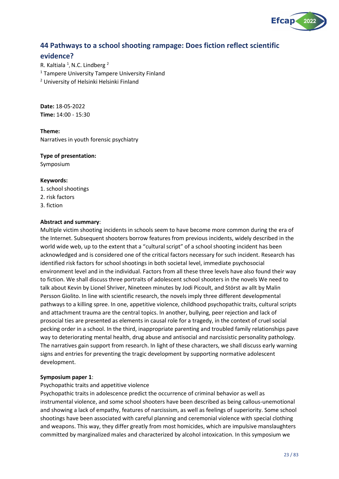

## <span id="page-22-0"></span>**44 Pathways to a school shooting rampage: Does fiction reflect scientific**

## **evidence?**

R. Kaltiala <sup>1</sup>, N.C. Lindberg<sup>2</sup> <sup>1</sup> Tampere University Tampere University Finland <sup>2</sup> University of Helsinki Helsinki Finland

**Date:** 18-05-2022 **Time:** 14:00 - 15:30

**Theme:** Narratives in youth forensic psychiatry

## **Type of presentation:**

Symposium

## **Keywords:**

1. school shootings 2. risk factors 3. fiction

## **Abstract and summary**:

Multiple victim shooting incidents in schools seem to have become more common during the era of the Internet. Subsequent shooters borrow features from previous incidents, widely described in the world wide web, up to the extent that a "cultural script" of a school shooting incident has been acknowledged and is considered one of the critical factors necessary for such incident. Research has identified risk factors for school shootings in both societal level, immediate psychosocial environment level and in the individual. Factors from all these three levels have also found their way to fiction. We shall discuss three portraits of adolescent school shooters in the novels We need to talk about Kevin by Lionel Shriver, Nineteen minutes by Jodi Picoult, and Störst av allt by Malin Persson Giolito. In line with scientific research, the novels imply three different developmental pathways to a killing spree. In one, appetitive violence, childhood psychopathic traits, cultural scripts and attachment trauma are the central topics. In another, bullying, peer rejection and lack of prosocial ties are presented as elements in causal role for a tragedy, in the context of cruel social pecking order in a school. In the third, inappropriate parenting and troubled family relationships pave way to deteriorating mental health, drug abuse and antisocial and narcissistic personality pathology. The narratives gain support from research. In light of these characters, we shall discuss early warning signs and entries for preventing the tragic development by supporting normative adolescent development.

## **Symposium paper 1**:

## Psychopathic traits and appetitive violence

Psychopathic traits in adolescence predict the occurrence of criminal behavior as well as instrumental violence, and some school shooters have been described as being callous-unemotional and showing a lack of empathy, features of narcissism, as well as feelings of superiority. Some school shootings have been associated with careful planning and ceremonial violence with special clothing and weapons. This way, they differ greatly from most homicides, which are impulsive manslaughters committed by marginalized males and characterized by alcohol intoxication. In this symposium we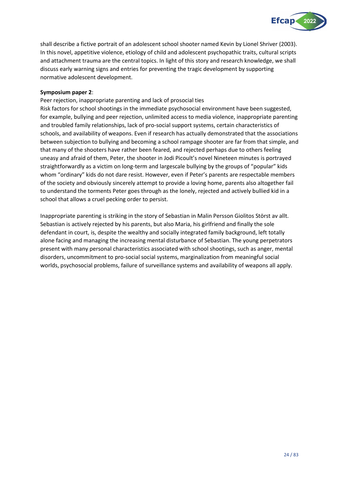

shall describe a fictive portrait of an adolescent school shooter named Kevin by Lionel Shriver (2003). In this novel, appetitive violence, etiology of child and adolescent psychopathic traits, cultural scripts and attachment trauma are the central topics. In light of this story and research knowledge, we shall discuss early warning signs and entries for preventing the tragic development by supporting normative adolescent development.

## **Symposium paper 2**:

Peer rejection, inappropriate parenting and lack of prosocial ties

Risk factors for school shootings in the immediate psychosocial environment have been suggested, for example, bullying and peer rejection, unlimited access to media violence, inappropriate parenting and troubled family relationships, lack of pro-social support systems, certain characteristics of schools, and availability of weapons. Even if research has actually demonstrated that the associations between subjection to bullying and becoming a school rampage shooter are far from that simple, and that many of the shooters have rather been feared, and rejected perhaps due to others feeling uneasy and afraid of them, Peter, the shooter in Jodi Picoult's novel Nineteen minutes is portrayed straightforwardly as a victim on long-term and largescale bullying by the groups of "popular" kids whom "ordinary" kids do not dare resist. However, even if Peter's parents are respectable members of the society and obviously sincerely attempt to provide a loving home, parents also altogether fail to understand the torments Peter goes through as the lonely, rejected and actively bullied kid in a school that allows a cruel pecking order to persist.

Inappropriate parenting is striking in the story of Sebastian in Malin Persson Giolitos Störst av allt. Sebastian is actively rejected by his parents, but also Maria, his girlfriend and finally the sole defendant in court, is, despite the wealthy and socially integrated family background, left totally alone facing and managing the increasing mental disturbance of Sebastian. The young perpetrators present with many personal characteristics associated with school shootings, such as anger, mental disorders, uncommitment to pro-social social systems, marginalization from meaningful social worlds, psychosocial problems, failure of surveillance systems and availability of weapons all apply.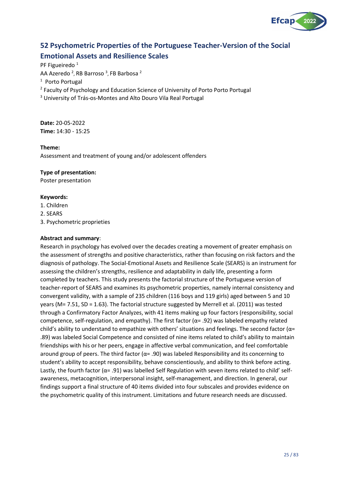

## <span id="page-24-0"></span>**52 Psychometric Properties of the Portuguese Teacher-Version of the Social Emotional Assets and Resilience Scales**

PF Figueiredo<sup>1</sup>

AA Azeredo <sup>2</sup>, RB Barroso <sup>3</sup>, FB Barbosa <sup>2</sup>

<sup>1</sup> Porto Portugal

<sup>2</sup> Faculty of Psychology and Education Science of University of Porto Porto Portugal

<sup>3</sup> University of Trás-os-Montes and Alto Douro Vila Real Portugal

**Date:** 20-05-2022 **Time:** 14:30 - 15:25

## **Theme:**

Assessment and treatment of young and/or adolescent offenders

## **Type of presentation:**

Poster presentation

## **Keywords:**

- 1. Children
- 2. SEARS
- 3. Psychometric proprieties

## **Abstract and summary**:

Research in psychology has evolved over the decades creating a movement of greater emphasis on the assessment of strengths and positive characteristics, rather than focusing on risk factors and the diagnosis of pathology. The Social-Emotional Assets and Resilience Scale (SEARS) is an instrument for assessing the children's strengths, resilience and adaptability in daily life, presenting a form completed by teachers. This study presents the factorial structure of the Portuguese version of teacher-report of SEARS and examines its psychometric properties, namely internal consistency and convergent validity, with a sample of 235 children (116 boys and 119 girls) aged between 5 and 10 years (M= 7.51, SD = 1.63). The factorial structure suggested by Merrell et al. (2011) was tested through a Confirmatory Factor Analyzes, with 41 items making up four factors (responsibility, social competence, self-regulation, and empathy). The first factor (α= .92) was labeled empathy related child's ability to understand to empathize with others' situations and feelings. The second factor ( $\alpha$ = .89) was labeled Social Competence and consisted of nine items related to child's ability to maintain friendships with his or her peers, engage in affective verbal communication, and feel comfortable around group of peers. The third factor ( $\alpha$ = .90) was labeled Responsibility and its concerning to student's ability to accept responsibility, behave conscientiously, and ability to think before acting. Lastly, the fourth factor ( $\alpha$ = .91) was labelled Self Regulation with seven items related to child' selfawareness, metacognition, interpersonal insight, self-management, and direction. In general, our findings support a final structure of 40 items divided into four subscales and provides evidence on the psychometric quality of this instrument. Limitations and future research needs are discussed.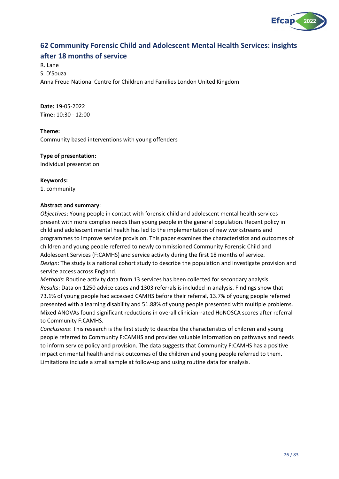

## <span id="page-25-0"></span>**62 Community Forensic Child and Adolescent Mental Health Services: insights after 18 months of service**

## R. Lane S. D'Souza Anna Freud National Centre for Children and Families London United Kingdom

**Date:** 19-05-2022 **Time:** 10:30 - 12:00

## **Theme:**

Community based interventions with young offenders

## **Type of presentation:**

Individual presentation

## **Keywords:**

1. community

## **Abstract and summary**:

*Objectives*: Young people in contact with forensic child and adolescent mental health services present with more complex needs than young people in the general population. Recent policy in child and adolescent mental health has led to the implementation of new workstreams and programmes to improve service provision. This paper examines the characteristics and outcomes of children and young people referred to newly commissioned Community Forensic Child and Adolescent Services (F:CAMHS) and service activity during the first 18 months of service. *Design*: The study is a national cohort study to describe the population and investigate provision and service access across England.

*Methods*: Routine activity data from 13 services has been collected for secondary analysis. *Results*: Data on 1250 advice cases and 1303 referrals is included in analysis. Findings show that 73.1% of young people had accessed CAMHS before their referral, 13.7% of young people referred presented with a learning disability and 51.88% of young people presented with multiple problems. Mixed ANOVAs found significant reductions in overall clinician-rated HoNOSCA scores after referral to Community F:CAMHS.

*Conclusions*: This research is the first study to describe the characteristics of children and young people referred to Community F:CAMHS and provides valuable information on pathways and needs to inform service policy and provision. The data suggests that Community F:CAMHS has a positive impact on mental health and risk outcomes of the children and young people referred to them. Limitations include a small sample at follow-up and using routine data for analysis.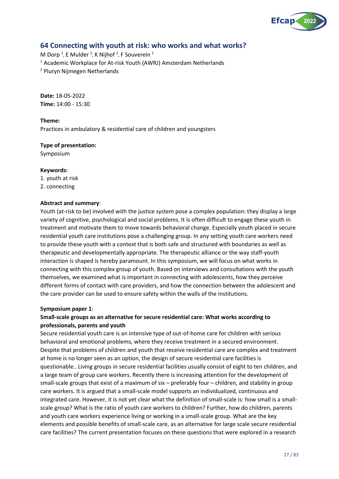

## <span id="page-26-0"></span>**64 Connecting with youth at risk: who works and what works?**

M Dorp<sup>1</sup>, E Mulder<sup>1</sup>, K Nijhof<sup>2</sup>, F Souverein<sup>1</sup> <sup>1</sup> Academic Workplace for At-risk Youth (AWRJ) Amsterdam Netherlands <sup>2</sup> Pluryn Nijmegen Netherlands

**Date:** 18-05-2022 **Time:** 14:00 - 15:30

## **Theme:**

Practices in ambulatory & residential care of children and youngsters

## **Type of presentation:**

Symposium

#### **Keywords:**

- 1. youth at risk
- 2. connecting

## **Abstract and summary**:

Youth (at-risk to be) involved with the justice system pose a complex population: they display a large variety of cognitive, psychological and social problems. It is often difficult to engage these youth in treatment and motivate them to move towards behavioral change. Especially youth placed in secure residential youth care institutions pose a challenging group. In any setting youth care workers need to provide these youth with a context that is both safe and structured with boundaries as well as therapeutic and developmentally appropriate. The therapeutic alliance or the way staff-youth interaction is shaped is hereby paramount. In this symposium, we will focus on what works in connecting with this complex group of youth. Based on interviews and consultations with the youth themselves, we examined what is important in connecting with adolescents, how they perceive different forms of contact with care providers, and how the connection between the adolescent and the care provider can be used to ensure safety within the walls of the institutions.

## **Symposium paper 1**:

## **Small-scale groups as an alternative for secure residential care: What works according to professionals, parents and youth**

Secure residential youth care is an intensive type of out-of-home care for children with serious behavioral and emotional problems, where they receive treatment in a secured environment. Despite that problems of children and youth that receive residential care are complex and treatment at home is no longer seen as an option, the design of secure residential care facilities is questionable.. Living groups in secure residential facilities usually consist of eight to ten children, and a large team of group care workers. Recently there is increasing attention for the development of small-scale groups that exist of a maximum of six – preferably four – children, and stability in group care workers. It is argued that a small-scale model supports an individualized, continuous and integrated care. However, it is not yet clear what the definition of small-scale is: how small is a smallscale group? What is the ratio of youth care workers to children? Further, how do children, parents and youth care workers experience living or working in a small-scale group. What are the key elements and possible benefits of small-scale care, as an alternative for large scale secure residential care facilities? The current presentation focuses on these questions that were explored in a research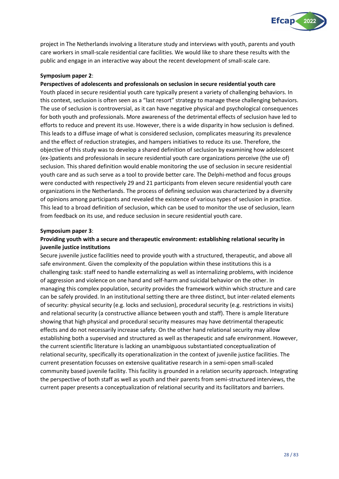

project in The Netherlands involving a literature study and interviews with youth, parents and youth care workers in small-scale residential care facilities. We would like to share these results with the public and engage in an interactive way about the recent development of small-scale care.

## **Symposium paper 2**:

## **Perspectives of adolescents and professionals on seclusion in secure residential youth care**

Youth placed in secure residential youth care typically present a variety of challenging behaviors. In this context, seclusion is often seen as a "last resort" strategy to manage these challenging behaviors. The use of seclusion is controversial, as it can have negative physical and psychological consequences for both youth and professionals. More awareness of the detrimental effects of seclusion have led to efforts to reduce and prevent its use. However, there is a wide disparity in how seclusion is defined. This leads to a diffuse image of what is considered seclusion, complicates measuring its prevalence and the effect of reduction strategies, and hampers initiatives to reduce its use. Therefore, the objective of this study was to develop a shared definition of seclusion by examining how adolescent (ex-)patients and professionals in secure residential youth care organizations perceive (the use of) seclusion. This shared definition would enable monitoring the use of seclusion in secure residential youth care and as such serve as a tool to provide better care. The Delphi-method and focus groups were conducted with respectively 29 and 21 participants from eleven secure residential youth care organizations in the Netherlands. The process of defining seclusion was characterized by a diversity of opinions among participants and revealed the existence of various types of seclusion in practice. This lead to a broad definition of seclusion, which can be used to monitor the use of seclusion, learn from feedback on its use, and reduce seclusion in secure residential youth care.

## **Symposium paper 3**:

## **Providing youth with a secure and therapeutic environment: establishing relational security in juvenile justice institutions**

Secure juvenile justice facilities need to provide youth with a structured, therapeutic, and above all safe environment. Given the complexity of the population within these institutions this is a challenging task: staff need to handle externalizing as well as internalizing problems, with incidence of aggression and violence on one hand and self-harm and suicidal behavior on the other. In managing this complex population, security provides the framework within which structure and care can be safely provided. In an institutional setting there are three distinct, but inter-related elements of security: physical security (e.g. locks and seclusion), procedural security (e.g. restrictions in visits) and relational security (a constructive alliance between youth and staff). There is ample literature showing that high physical and procedural security measures may have detrimental therapeutic effects and do not necessarily increase safety. On the other hand relational security may allow establishing both a supervised and structured as well as therapeutic and safe environment. However, the current scientific literature is lacking an unambiguous substantiated conceptualization of relational security, specifically its operationalization in the context of juvenile justice facilities. The current presentation focusses on extensive qualitative research in a semi-open small-scaled community based juvenile facility. This facility is grounded in a relation security approach. Integrating the perspective of both staff as well as youth and their parents from semi-structured interviews, the current paper presents a conceptualization of relational security and its facilitators and barriers.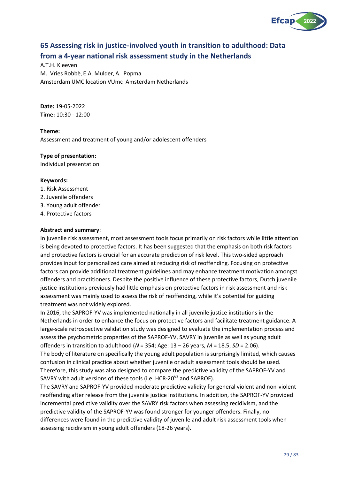

## <span id="page-28-0"></span>**65 Assessing risk in justice-involved youth in transition to adulthood: Data from a 4-year national risk assessment study in the Netherlands**

A.T.H. Kleeven M. Vries Robbè, E.A. Mulder, A. Popma Amsterdam UMC location VUmc Amsterdam Netherlands

**Date:** 19-05-2022 **Time:** 10:30 - 12:00

**Theme:** Assessment and treatment of young and/or adolescent offenders

## **Type of presentation:**

Individual presentation

## **Keywords:**

- 1. Risk Assessment
- 2. Juvenile offenders
- 3. Young adult offender
- 4. Protective factors

## **Abstract and summary**:

In juvenile risk assessment, most assessment tools focus primarily on risk factors while little attention is being devoted to protective factors. It has been suggested that the emphasis on both risk factors and protective factors is crucial for an accurate prediction of risk level. This two-sided approach provides input for personalized care aimed at reducing risk of reoffending. Focusing on protective factors can provide additional treatment guidelines and may enhance treatment motivation amongst offenders and practitioners. Despite the positive influence of these protective factors, Dutch juvenile justice institutions previously had little emphasis on protective factors in risk assessment and risk assessment was mainly used to assess the risk of reoffending, while it's potential for guiding treatment was not widely explored.

In 2016, the SAPROF-YV was implemented nationally in all juvenile justice institutions in the Netherlands in order to enhance the focus on protective factors and facilitate treatment guidance. A large-scale retrospective validation study was designed to evaluate the implementation process and assess the psychometric properties of the SAPROF-YV, SAVRY in juvenile as well as young adult offenders in transition to adulthood (*N* = 354; Age: 13 – 26 years, *M* = 18.5, *SD* = 2.06). The body of literature on specifically the young adult population is surprisingly limited, which causes confusion in clinical practice about whether juvenile or adult assessment tools should be used. Therefore, this study was also designed to compare the predictive validity of the SAPROF-YV and SAVRY with adult versions of these tools (i.e. HCR-20 $\mathrm{V}^3$  and SAPROF).

The SAVRY and SAPROF-YV provided moderate predictive validity for general violent and non-violent reoffending after release from the juvenile justice institutions. In addition, the SAPROF-YV provided incremental predictive validity over the SAVRY risk factors when assessing recidivism, and the predictive validity of the SAPROF-YV was found stronger for younger offenders. Finally, no differences were found in the predictive validity of juvenile and adult risk assessment tools when assessing recidivism in young adult offenders (18-26 years).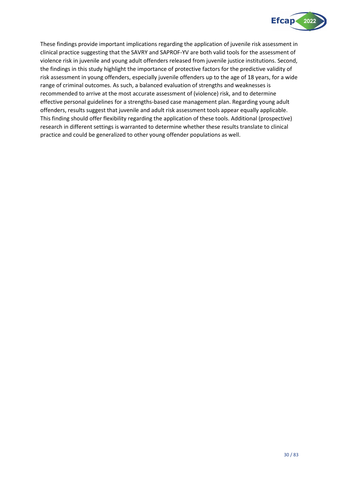

These findings provide important implications regarding the application of juvenile risk assessment in clinical practice suggesting that the SAVRY and SAPROF-YV are both valid tools for the assessment of violence risk in juvenile and young adult offenders released from juvenile justice institutions. Second, the findings in this study highlight the importance of protective factors for the predictive validity of risk assessment in young offenders, especially juvenile offenders up to the age of 18 years, for a wide range of criminal outcomes. As such, a balanced evaluation of strengths and weaknesses is recommended to arrive at the most accurate assessment of (violence) risk, and to determine effective personal guidelines for a strengths-based case management plan. Regarding young adult offenders, results suggest that juvenile and adult risk assessment tools appear equally applicable. This finding should offer flexibility regarding the application of these tools. Additional (prospective) research in different settings is warranted to determine whether these results translate to clinical practice and could be generalized to other young offender populations as well.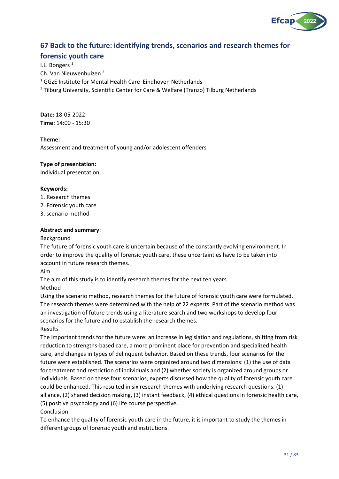

## <span id="page-30-0"></span>**67 Back to the future: identifying trends, scenarios and research themes for**

## **forensic youth care**

I.L. Bongers<sup>1</sup> Ch. Van Nieuwenhuizen <sup>2</sup>  $1$  GGzE Institute for Mental Health Care Eindhoven Netherlands <sup>2</sup> Tilburg University, Scientific Center for Care & Welfare (Tranzo) Tilburg Netherlands

**Date:** 18-05-2022 **Time:** 14:00 - 15:30

## **Theme:**

Assessment and treatment of young and/or adolescent offenders

## **Type of presentation:**

Individual presentation

## **Keywords:**

- 1. Research themes
- 2. Forensic youth care
- 3. scenario method

## **Abstract and summary**:

## Background

The future of forensic youth care is uncertain because of the constantly evolving environment. In order to improve the quality of forensic youth care, these uncertainties have to be taken into account in future research themes.

Aim

The aim of this study is to identify research themes for the next ten years.

Method

Using the scenario method, research themes for the future of forensic youth care were formulated. The research themes were determined with the help of 22 experts. Part of the scenario method was an investigation of future trends using a literature search and two workshops to develop four scenarios for the future and to establish the research themes. Results

The important trends for the future were: an increase in legislation and regulations, shifting from risk reduction to strengths-based care, a more prominent place for prevention and specialized health care, and changes in types of delinquent behavior. Based on these trends, four scenarios for the future were established. The scenarios were organized around two dimensions: (1) the use of data for treatment and restriction of individuals and (2) whether society is organized around groups or individuals. Based on these four scenarios, experts discussed how the quality of forensic youth care could be enhanced. This resulted in six research themes with underlying research questions: (1) alliance, (2) shared decision making, (3) instant feedback, (4) ethical questions in forensic health care, (5) positive psychology and (6) life course perspective.

## Conclusion

To enhance the quality of forensic youth care in the future, it is important to study the themes in different groups of forensic youth and institutions.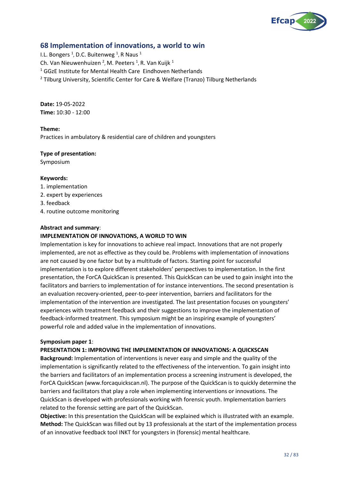

## <span id="page-31-0"></span>**68 Implementation of innovations, a world to win**

I.L. Bongers  $^1$ , D.C. Buitenweg  $^1$ , R Naus  $^1$ Ch. Van Nieuwenhuizen  $^2$ , M. Peeters  $^1$ , R. Van Kuijk  $^1$ <sup>1</sup> GGzE Institute for Mental Health Care Eindhoven Netherlands  $2$  Tilburg University, Scientific Center for Care & Welfare (Tranzo) Tilburg Netherlands

**Date:** 19-05-2022 **Time:** 10:30 - 12:00

## **Theme:**

Practices in ambulatory & residential care of children and youngsters

## **Type of presentation:**

Symposium

## **Keywords:**

- 1. implementation
- 2. expert by experiences
- 3. feedback
- 4. routine outcome monitoring

## **Abstract and summary**:

#### **IMPLEMENTATION OF INNOVATIONS, A WORLD TO WIN**

Implementation is key for innovations to achieve real impact. Innovations that are not properly implemented, are not as effective as they could be. Problems with implementation of innovations are not caused by one factor but by a multitude of factors. Starting point for successful implementation is to explore different stakeholders' perspectives to implementation. In the first presentation, the ForCA QuickScan is presented. This QuickScan can be used to gain insight into the facilitators and barriers to implementation of for instance interventions. The second presentation is an evaluation recovery-oriented, peer-to-peer intervention, barriers and facilitators for the implementation of the intervention are investigated. The last presentation focuses on youngsters' experiences with treatment feedback and their suggestions to improve the implementation of feedback-informed treatment. This symposium might be an inspiring example of youngsters' powerful role and added value in the implementation of innovations.

#### **Symposium paper 1**:

## **PRESENTATION 1: IMPROVING THE IMPLEMENTATION OF INNOVATIONS: A QUICKSCAN**

**Background:** Implementation of interventions is never easy and simple and the quality of the implementation is significantly related to the effectiveness of the intervention. To gain insight into the barriers and facilitators of an implementation process a screening instrument is developed, the ForCA QuickScan (www.forcaquickscan.nl). The purpose of the QuickScan is to quickly determine the barriers and facilitators that play a role when implementing interventions or innovations. The QuickScan is developed with professionals working with forensic youth. Implementation barriers related to the forensic setting are part of the QuickScan.

**Objective:** In this presentation the QuickScan will be explained which is illustrated with an example. **Method:** The QuickScan was filled out by 13 professionals at the start of the implementation process of an innovative feedback tool INKT for youngsters in (forensic) mental healthcare.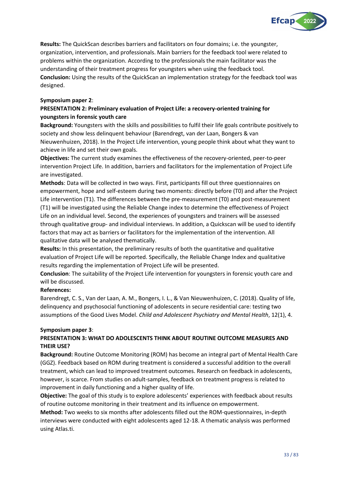

**Results:** The QuickScan describes barriers and facilitators on four domains; i.e. the youngster, organization, intervention, and professionals. Main barriers for the feedback tool were related to problems within the organization. According to the professionals the main facilitator was the understanding of their treatment progress for youngsters when using the feedback tool. **Conclusion:** Using the results of the QuickScan an implementation strategy for the feedback tool was designed.

## **Symposium paper 2**:

## **PRESENTATION 2: Preliminary evaluation of Project Life: a recovery-oriented training for youngsters in forensic youth care**

**Background:** Youngsters with the skills and possibilities to fulfil their life goals contribute positively to society and show less delinquent behaviour (Barendregt, van der Laan, Bongers & van Nieuwenhuizen, 2018). In the Project Life intervention, young people think about what they want to achieve in life and set their own goals.

**Objectives:** The current study examines the effectiveness of the recovery-oriented, peer-to-peer intervention Project Life. In addition, barriers and facilitators for the implementation of Project Life are investigated.

**Methods**: Data will be collected in two ways. First, participants fill out three questionnaires on empowerment, hope and self-esteem during two moments: directly before (T0) and after the Project Life intervention (T1). The differences between the pre-measurement (T0) and post-measurement (T1) will be investigated using the Reliable Change index to determine the effectiveness of Project Life on an individual level. Second, the experiences of youngsters and trainers will be assessed through qualitative group- and individual interviews. In addition, a Quickscan will be used to identify factors that may act as barriers or facilitators for the implementation of the intervention. All qualitative data will be analysed thematically.

**Results:** In this presentation, the preliminary results of both the quantitative and qualitative evaluation of Project Life will be reported. Specifically, the Reliable Change Index and qualitative results regarding the implementation of Project Life will be presented.

**Conclusion**: The suitability of the Project Life intervention for youngsters in forensic youth care and will be discussed.

## **References:**

Barendregt, C. S., Van der Laan, A. M., Bongers, I. L., & Van Nieuwenhuizen, C. (2018). Quality of life, delinquency and psychosocial functioning of adolescents in secure residential care: testing two assumptions of the Good Lives Model. *Child and Adolescent Psychiatry and Mental Health*, 12(1), 4.

## **Symposium paper 3**:

## **PRESENTATION 3: WHAT DO ADOLESCENTS THINK ABOUT ROUTINE OUTCOME MEASURES AND THEIR USE?**

**Background:** Routine Outcome Monitoring (ROM) has become an integral part of Mental Health Care (GGZ). Feedback based on ROM during treatment is considered a successful addition to the overall treatment, which can lead to improved treatment outcomes. Research on feedback in adolescents, however, is scarce. From studies on adult-samples, feedback on treatment progress is related to improvement in daily functioning and a higher quality of life.

**Objective:** The goal of this study is to explore adolescents' experiences with feedback about results of routine outcome monitoring in their treatment and its influence on empowerment.

**Method:** Two weeks to six months after adolescents filled out the ROM-questionnaires, in-depth interviews were conducted with eight adolescents aged 12-18. A thematic analysis was performed using Atlas.ti.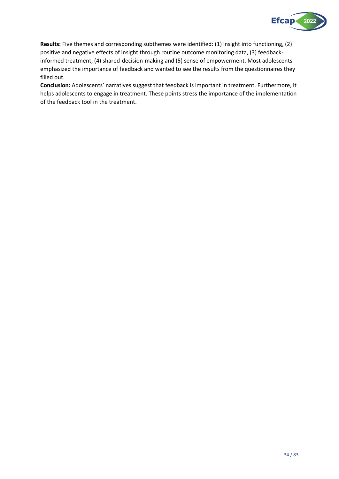

**Results:** Five themes and corresponding subthemes were identified: (1) insight into functioning, (2) positive and negative effects of insight through routine outcome monitoring data, (3) feedbackinformed treatment, (4) shared-decision-making and (5) sense of empowerment. Most adolescents emphasized the importance of feedback and wanted to see the results from the questionnaires they filled out.

**Conclusion:** Adolescents' narratives suggest that feedback is important in treatment. Furthermore, it helps adolescents to engage in treatment. These points stress the importance of the implementation of the feedback tool in the treatment.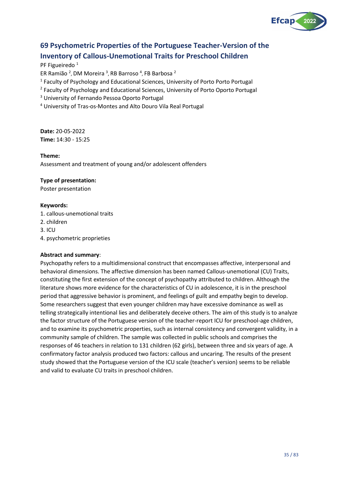

## <span id="page-34-0"></span>**69 Psychometric Properties of the Portuguese Teacher-Version of the Inventory of Callous-Unemotional Traits for Preschool Children**

PF Figueiredo<sup>1</sup>

ER Ramião <sup>2</sup>, DM Moreira <sup>3</sup>, RB Barroso <sup>4</sup>, FB Barbosa <sup>2</sup>

<sup>1</sup> Faculty of Psychology and Educational Sciences, University of Porto Porto Portugal

<sup>2</sup> Faculty of Psychology and Educational Sciences, University of Porto Oporto Portugal

<sup>3</sup> University of Fernando Pessoa Oporto Portugal

<sup>4</sup> University of Tras-os-Montes and Alto Douro Vila Real Portugal

**Date:** 20-05-2022 **Time:** 14:30 - 15:25

**Theme:**

Assessment and treatment of young and/or adolescent offenders

## **Type of presentation:**

Poster presentation

## **Keywords:**

1. callous-unemotional traits

- 2. children
- 3. ICU
- 4. psychometric proprieties

## **Abstract and summary**:

Psychopathy refers to a multidimensional construct that encompasses affective, interpersonal and behavioral dimensions. The affective dimension has been named Callous-unemotional (CU) Traits, constituting the first extension of the concept of psychopathy attributed to children. Although the literature shows more evidence for the characteristics of CU in adolescence, it is in the preschool period that aggressive behavior is prominent, and feelings of guilt and empathy begin to develop. Some researchers suggest that even younger children may have excessive dominance as well as telling strategically intentional lies and deliberately deceive others. The aim of this study is to analyze the factor structure of the Portuguese version of the teacher-report ICU for preschool-age children, and to examine its psychometric properties, such as internal consistency and convergent validity, in a community sample of children. The sample was collected in public schools and comprises the responses of 46 teachers in relation to 131 children (62 girls), between three and six years of age. A confirmatory factor analysis produced two factors: callous and uncaring. The results of the present study showed that the Portuguese version of the ICU scale (teacher's version) seems to be reliable and valid to evaluate CU traits in preschool children.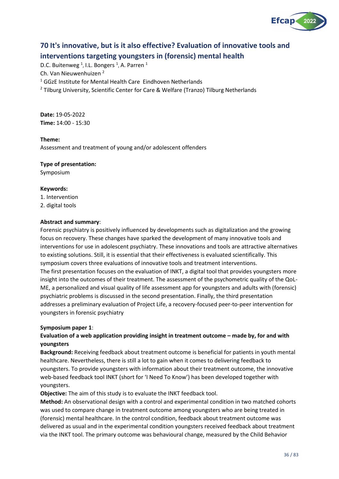

## <span id="page-35-0"></span>**70 It's innovative, but is it also effective? Evaluation of innovative tools and interventions targeting youngsters in (forensic) mental health**

D.C. Buitenweg <sup>1</sup>, I.L. Bongers <sup>1</sup>, A. Parren <sup>1</sup> Ch. Van Nieuwenhuizen <sup>2</sup>  $1$  GGzE Institute for Mental Health Care Eindhoven Netherlands <sup>2</sup> Tilburg University, Scientific Center for Care & Welfare (Tranzo) Tilburg Netherlands

**Date:** 19-05-2022 **Time:** 14:00 - 15:30

## **Theme:**

Assessment and treatment of young and/or adolescent offenders

## **Type of presentation:**

Symposium

## **Keywords:**

1. Intervention

2. digital tools

## **Abstract and summary**:

Forensic psychiatry is positively influenced by developments such as digitalization and the growing focus on recovery. These changes have sparked the development of many innovative tools and interventions for use in adolescent psychiatry. These innovations and tools are attractive alternatives to existing solutions. Still, it is essential that their effectiveness is evaluated scientifically. This symposium covers three evaluations of innovative tools and treatment interventions. The first presentation focuses on the evaluation of INKT, a digital tool that provides youngsters more insight into the outcomes of their treatment. The assessment of the psychometric quality of the QoL-ME, a personalized and visual quality of life assessment app for youngsters and adults with (forensic) psychiatric problems is discussed in the second presentation. Finally, the third presentation addresses a preliminary evaluation of Project Life, a recovery-focused peer-to-peer intervention for youngsters in forensic psychiatry

## **Symposium paper 1**:

## **Evaluation of a web application providing insight in treatment outcome – made by, for and with youngsters**

**Background:** Receiving feedback about treatment outcome is beneficial for patients in youth mental healthcare. Nevertheless, there is still a lot to gain when it comes to delivering feedback to youngsters. To provide youngsters with information about their treatment outcome, the innovative web-based feedback tool INKT (short for 'I Need To Know') has been developed together with youngsters.

**Objective:** The aim of this study is to evaluate the INKT feedback tool.

**Method:** An observational design with a control and experimental condition in two matched cohorts was used to compare change in treatment outcome among youngsters who are being treated in (forensic) mental healthcare. In the control condition, feedback about treatment outcome was delivered as usual and in the experimental condition youngsters received feedback about treatment via the INKT tool. The primary outcome was behavioural change, measured by the Child Behavior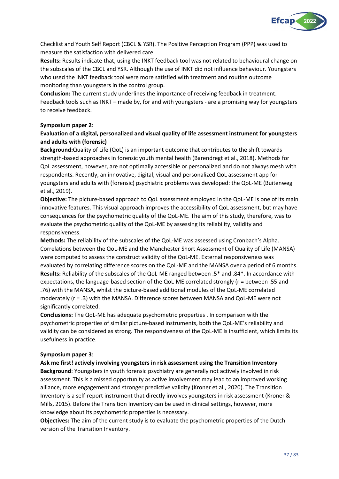

Checklist and Youth Self Report (CBCL & YSR). The Positive Perception Program (PPP) was used to measure the satisfaction with delivered care.

**Results:** Results indicate that, using the INKT feedback tool was not related to behavioural change on the subscales of the CBCL and YSR. Although the use of INKT did not influence behaviour. Youngsters who used the INKT feedback tool were more satisfied with treatment and routine outcome monitoring than youngsters in the control group.

**Conclusion:** The current study underlines the importance of receiving feedback in treatment. Feedback tools such as INKT – made by, for and with youngsters - are a promising way for youngsters to receive feedback.

#### **Symposium paper 2**:

## **Evaluation of a digital, personalized and visual quality of life assessment instrument for youngsters and adults with (forensic)**

**Background:**Quality of Life (QoL) is an important outcome that contributes to the shift towards strength-based approaches in forensic youth mental health (Barendregt et al., 2018). Methods for QoL assessment, however, are not optimally accessible or personalized and do not always mesh with respondents. Recently, an innovative, digital, visual and personalized QoL assessment app for youngsters and adults with (forensic) psychiatric problems was developed: the QoL-ME (Buitenweg et al., 2019).

**Objective:** The picture-based approach to QoL assessment employed in the QoL-ME is one of its main innovative features. This visual approach improves the accessibility of QoL assessment, but may have consequences for the psychometric quality of the QoL-ME. The aim of this study, therefore, was to evaluate the psychometric quality of the QoL-ME by assessing its reliability, validity and responsiveness.

**Methods:** The reliability of the subscales of the QoL-ME was assessed using Cronbach's Alpha. Correlations between the QoL-ME and the Manchester Short Assessment of Quality of Life (MANSA) were computed to assess the construct validity of the QoL-ME. External responsiveness was evaluated by correlating difference scores on the QoL-ME and the MANSA over a period of 6 months. **Results:** Reliability of the subscales of the QoL-ME ranged between .5\* and .84\*. In accordance with expectations, the language-based section of the QoL-ME correlated strongly (r = between .55 and .76) with the MANSA, whilst the picture-based additional modules of the QoL-ME correlated moderately (r = .3) with the MANSA. Difference scores between MANSA and QoL-ME were not significantly correlated.

**Conclusions:** The QoL-ME has adequate psychometric properties . In comparison with the psychometric properties of similar picture-based instruments, both the QoL-ME's reliability and validity can be considered as strong. The responsiveness of the QoL-ME is insufficient, which limits its usefulness in practice.

#### **Symposium paper 3**:

#### **Ask me first! actively involving youngsters in risk assessment using the Transition Inventory**

**Background**: Youngsters in youth forensic psychiatry are generally not actively involved in risk assessment. This is a missed opportunity as active involvement may lead to an improved working alliance, more engagement and stronger predictive validity (Kroner et al., 2020). The Transition Inventory is a self-report instrument that directly involves youngsters in risk assessment (Kroner & Mills, 2015). Before the Transition Inventory can be used in clinical settings, however, more knowledge about its psychometric properties is necessary.

**Objectives:** The aim of the current study is to evaluate the psychometric properties of the Dutch version of the Transition Inventory.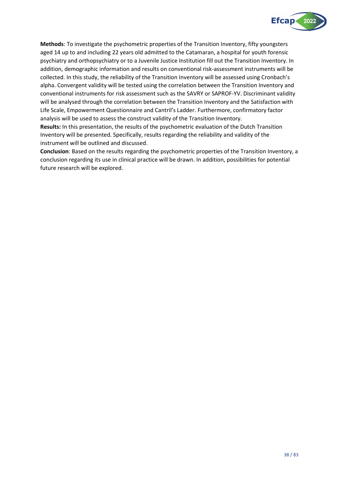

**Methods**: To investigate the psychometric properties of the Transition Inventory, fifty youngsters aged 14 up to and including 22 years old admitted to the Catamaran, a hospital for youth forensic psychiatry and orthopsychiatry or to a Juvenile Justice Institution fill out the Transition Inventory. In addition, demographic information and results on conventional risk-assessment instruments will be collected. In this study, the reliability of the Transition Inventory will be assessed using Cronbach's alpha. Convergent validity will be tested using the correlation between the Transition Inventory and conventional instruments for risk assessment such as the SAVRY or SAPROF-YV. Discriminant validity will be analysed through the correlation between the Transition Inventory and the Satisfaction with Life Scale, Empowerment Questionnaire and Cantril's Ladder. Furthermore, confirmatory factor analysis will be used to assess the construct validity of the Transition Inventory.

**Results:** In this presentation, the results of the psychometric evaluation of the Dutch Transition Inventory will be presented. Specifically, results regarding the reliability and validity of the instrument will be outlined and discussed.

**Conclusion**: Based on the results regarding the psychometric properties of the Transition Inventory, a conclusion regarding its use in clinical practice will be drawn. In addition, possibilities for potential future research will be explored.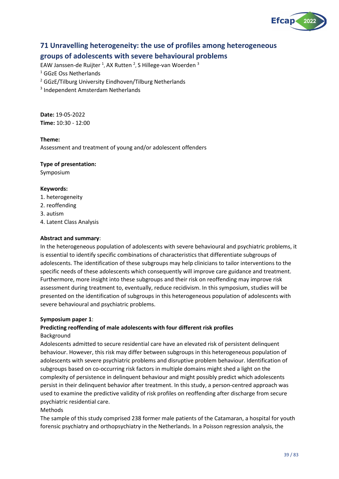

## **71 Unravelling heterogeneity: the use of profiles among heterogeneous groups of adolescents with severe behavioural problems**

EAW Janssen-de Ruijter <sup>1</sup>, AX Rutten <sup>2</sup>, S Hillege-van Woerden <sup>3</sup>

<sup>1</sup> GGzE Oss Netherlands

<sup>2</sup> GGzE/Tilburg University Eindhoven/Tilburg Netherlands

3 Independent Amsterdam Netherlands

**Date:** 19-05-2022 **Time:** 10:30 - 12:00

### **Theme:**

Assessment and treatment of young and/or adolescent offenders

#### **Type of presentation:**

Symposium

#### **Keywords:**

- 1. heterogeneity
- 2. reoffending
- 3. autism
- 4. Latent Class Analysis

#### **Abstract and summary**:

In the heterogeneous population of adolescents with severe behavioural and psychiatric problems, it is essential to identify specific combinations of characteristics that differentiate subgroups of adolescents. The identification of these subgroups may help clinicians to tailor interventions to the specific needs of these adolescents which consequently will improve care guidance and treatment. Furthermore, more insight into these subgroups and their risk on reoffending may improve risk assessment during treatment to, eventually, reduce recidivism. In this symposium, studies will be presented on the identification of subgroups in this heterogeneous population of adolescents with severe behavioural and psychiatric problems.

#### **Symposium paper 1**:

#### **Predicting reoffending of male adolescents with four different risk profiles** Background

Adolescents admitted to secure residential care have an elevated risk of persistent delinquent behaviour. However, this risk may differ between subgroups in this heterogeneous population of adolescents with severe psychiatric problems and disruptive problem behaviour. Identification of subgroups based on co-occurring risk factors in multiple domains might shed a light on the complexity of persistence in delinquent behaviour and might possibly predict which adolescents persist in their delinquent behavior after treatment. In this study, a person-centred approach was used to examine the predictive validity of risk profiles on reoffending after discharge from secure psychiatric residential care.

#### Methods

The sample of this study comprised 238 former male patients of the Catamaran, a hospital for youth forensic psychiatry and orthopsychiatry in the Netherlands. In a Poisson regression analysis, the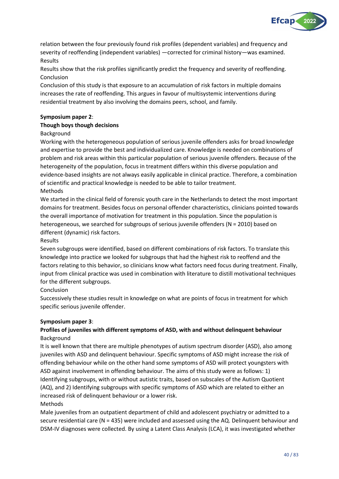

relation between the four previously found risk profiles (dependent variables) and frequency and severity of reoffending (independent variables) —corrected for criminal history—was examined. Results

Results show that the risk profiles significantly predict the frequency and severity of reoffending. Conclusion

Conclusion of this study is that exposure to an accumulation of risk factors in multiple domains increases the rate of reoffending. This argues in favour of multisystemic interventions during residential treatment by also involving the domains peers, school, and family.

### **Symposium paper 2**:

#### **Though boys though decisions**

#### Background

Working with the heterogeneous population of serious juvenile offenders asks for broad knowledge and expertise to provide the best and individualized care. Knowledge is needed on combinations of problem and risk areas within this particular population of serious juvenile offenders. Because of the heterogeneity of the population, focus in treatment differs within this diverse population and evidence-based insights are not always easily applicable in clinical practice. Therefore, a combination of scientific and practical knowledge is needed to be able to tailor treatment. Methods

We started in the clinical field of forensic youth care in the Netherlands to detect the most important domains for treatment. Besides focus on personal offender characteristics, clinicians pointed towards the overall importance of motivation for treatment in this population. Since the population is heterogeneous, we searched for subgroups of serious juvenile offenders (N = 2010) based on different (dynamic) risk factors.

#### Results

Seven subgroups were identified, based on different combinations of risk factors. To translate this knowledge into practice we looked for subgroups that had the highest risk to reoffend and the factors relating to this behavior, so clinicians know what factors need focus during treatment. Finally, input from clinical practice was used in combination with literature to distill motivational techniques for the different subgroups.

#### Conclusion

Successively these studies result in knowledge on what are points of focus in treatment for which specific serious juvenile offender.

#### **Symposium paper 3**:

## **Profiles of juveniles with different symptoms of ASD, with and without delinquent behaviour** Background

It is well known that there are multiple phenotypes of autism spectrum disorder (ASD), also among juveniles with ASD and delinquent behaviour. Specific symptoms of ASD might increase the risk of offending behaviour while on the other hand some symptoms of ASD will protect youngsters with ASD against involvement in offending behaviour. The aims of this study were as follows: 1) Identifying subgroups, with or without autistic traits, based on subscales of the Autism Quotient (AQ), and 2) Identifying subgroups with specific symptoms of ASD which are related to either an increased risk of delinquent behaviour or a lower risk.

#### Methods

Male juveniles from an outpatient department of child and adolescent psychiatry or admitted to a secure residential care (N = 435) were included and assessed using the AQ. Delinquent behaviour and DSM-IV diagnoses were collected. By using a Latent Class Analysis (LCA), it was investigated whether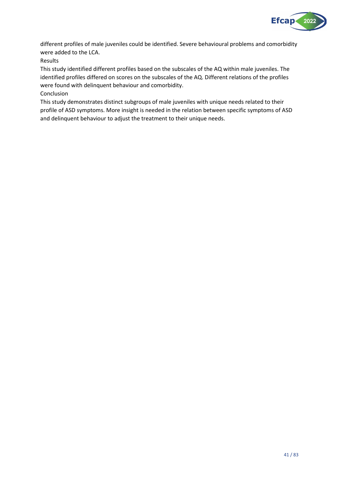

different profiles of male juveniles could be identified. Severe behavioural problems and comorbidity were added to the LCA.

Results

This study identified different profiles based on the subscales of the AQ within male juveniles. The identified profiles differed on scores on the subscales of the AQ. Different relations of the profiles were found with delinquent behaviour and comorbidity.

Conclusion

This study demonstrates distinct subgroups of male juveniles with unique needs related to their profile of ASD symptoms. More insight is needed in the relation between specific symptoms of ASD and delinquent behaviour to adjust the treatment to their unique needs.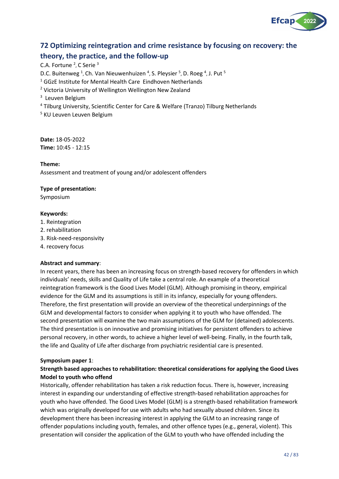

## **72 Optimizing reintegration and crime resistance by focusing on recovery: the theory, the practice, and the follow-up**

C.A. Fortune <sup>2</sup>, C Serie <sup>3</sup> D.C. Buitenweg<sup>1</sup>, Ch. Van Nieuwenhuizen<sup>4</sup>, S. Pleysier<sup>5</sup>, D. Roeg<sup>4</sup>, J. Put<sup>5</sup> <sup>1</sup> GGzE Institute for Mental Health Care Eindhoven Netherlands <sup>2</sup> Victoria University of Wellington Wellington New Zealand <sup>3</sup> Leuven Belgium <sup>4</sup> Tilburg University, Scientific Center for Care & Welfare (Tranzo) Tilburg Netherlands <sup>5</sup> KU Leuven Leuven Belgium

**Date:** 18-05-2022 **Time:** 10:45 - 12:15

#### **Theme:**

Assessment and treatment of young and/or adolescent offenders

#### **Type of presentation:**

Symposium

#### **Keywords:**

- 1. Reintegration
- 2. rehabilitation
- 3. Risk-need-responsivity
- 4. recovery focus

#### **Abstract and summary**:

In recent years, there has been an increasing focus on strength-based recovery for offenders in which individuals' needs, skills and Quality of Life take a central role. An example of a theoretical reintegration framework is the Good Lives Model (GLM). Although promising in theory, empirical evidence for the GLM and its assumptions is still in its infancy, especially for young offenders. Therefore, the first presentation will provide an overview of the theoretical underpinnings of the GLM and developmental factors to consider when applying it to youth who have offended. The second presentation will examine the two main assumptions of the GLM for (detained) adolescents. The third presentation is on innovative and promising initiatives for persistent offenders to achieve personal recovery, in other words, to achieve a higher level of well-being. Finally, in the fourth talk, the life and Quality of Life after discharge from psychiatric residential care is presented.

#### **Symposium paper 1**:

## **Strength based approaches to rehabilitation: theoretical considerations for applying the Good Lives Model to youth who offend**

Historically, offender rehabilitation has taken a risk reduction focus. There is, however, increasing interest in expanding our understanding of effective strength-based rehabilitation approaches for youth who have offended. The Good Lives Model (GLM) is a strength-based rehabilitation framework which was originally developed for use with adults who had sexually abused children. Since its development there has been increasing interest in applying the GLM to an increasing range of offender populations including youth, females, and other offence types (e.g., general, violent). This presentation will consider the application of the GLM to youth who have offended including the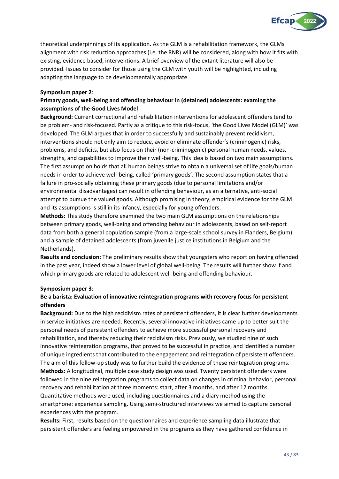

theoretical underpinnings of its application. As the GLM is a rehabilitation framework, the GLMs alignment with risk reduction approaches (i.e. the RNR) will be considered, along with how it fits with existing, evidence based, interventions. A brief overview of the extant literature will also be provided. Issues to consider for those using the GLM with youth will be highlighted, including adapting the language to be developmentally appropriate.

#### **Symposium paper 2**:

## **Primary goods, well-being and offending behaviour in (detained) adolescents: examing the assumptions of the Good Lives Model**

**Background:** Current correctional and rehabilitation interventions for adolescent offenders tend to be problem- and risk-focused. Partly as a critique to this risk-focus, 'the Good Lives Model (GLM)' was developed. The GLM argues that in order to successfully and sustainably prevent recidivism, interventions should not only aim to reduce, avoid or eliminate offender's (criminogenic) risks, problems, and deficits, but also focus on their (non-criminogenic) personal human needs, values, strengths, and capabilities to improve their well-being. This idea is based on two main assumptions. The first assumption holds that all human beings strive to obtain a universal set of life goals/human needs in order to achieve well-being, called 'primary goods'. The second assumption states that a failure in pro-socially obtaining these primary goods (due to personal limitations and/or environmental disadvantages) can result in offending behaviour, as an alternative, anti-social attempt to pursue the valued goods. Although promising in theory, empirical evidence for the GLM and its assumptions is still in its infancy, especially for young offenders.

**Methods:** This study therefore examined the two main GLM assumptions on the relationships between primary goods, well-being and offending behaviour in adolescents, based on self-report data from both a general population sample (from a large-scale school survey in Flanders, Belgium) and a sample of detained adolescents (from juvenile justice institutions in Belgium and the Netherlands).

**Results and conclusion:** The preliminary results show that youngsters who report on having offended in the past year, indeed show a lower level of global well-being. The results will further show if and which primary goods are related to adolescent well-being and offending behaviour.

## **Symposium paper 3**:

## **Be a barista: Evaluation of innovative reintegration programs with recovery focus for persistent offenders**

**Background:** Due to the high recidivism rates of persistent offenders, it is clear further developments in service initiatives are needed. Recently, several innovative initiatives came up to better suit the personal needs of persistent offenders to achieve more successful personal recovery and rehabilitation, and thereby reducing their recidivism risks. Previously, we studied nine of such innovative reintegration programs, that proved to be successful in practice, and identified a number of unique ingredients that contributed to the engagement and reintegration of persistent offenders. The aim of this follow-up study was to further build the evidence of these reintegration programs. **Methods:** A longitudinal, multiple case study design was used. Twenty persistent offenders were followed in the nine reintegration programs to collect data on changes in criminal behavior, personal recovery and rehabilitation at three moments: start, after 3 months, and after 12 months. Quantitative methods were used, including questionnaires and a diary method using the smartphone: experience sampling. Using semi-structured interviews we aimed to capture personal experiences with the program.

**Results:** First, results based on the questionnaires and experience sampling data illustrate that persistent offenders are feeling empowered in the programs as they have gathered confidence in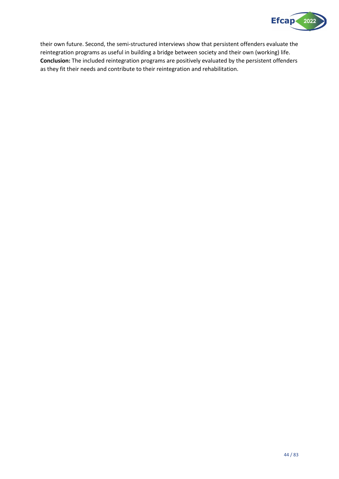

their own future. Second, the semi-structured interviews show that persistent offenders evaluate the reintegration programs as useful in building a bridge between society and their own (working) life. **Conclusion:** The included reintegration programs are positively evaluated by the persistent offenders as they fit their needs and contribute to their reintegration and rehabilitation.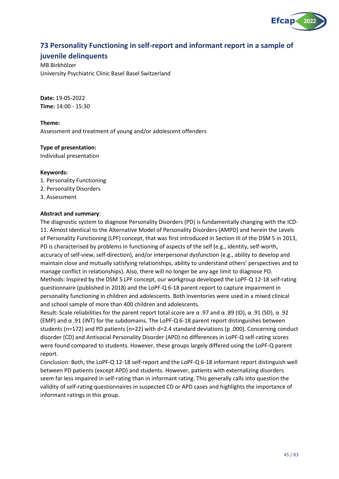

## **73 Personality Functioning in self-report and informant report in a sample of**

## **juvenile delinquents**

MB Birkhölzer University Psychiatric Clinic Basel Basel Switzerland

**Date:** 19-05-2022 **Time:** 14:00 - 15:30

**Theme:** Assessment and treatment of young and/or adolescent offenders

## **Type of presentation:**

Individual presentation

#### **Keywords:**

- 1. Personality Functioning
- 2. Personality Disorders
- 3. Assessment

## **Abstract and summary**:

The diagnostic system to diagnose Personality Disorders (PD) is fundamentally changing with the ICD-11. Almost identical to the Alternative Model of Personality Disorders (AMPD) and herein the Levels of Personality Functioning (LPF) concept, that was first introduced in Section III of the DSM 5 in 2013, PD is characterised by problems in functioning of aspects of the self (e.g., identity, self-worth, accuracy of self-view, self-direction), and/or interpersonal dysfunction (e.g., ability to develop and maintain close and mutually satisfying relationships, ability to understand others' perspectives and to manage conflict in relationships). Also, there will no longer be any age limit to diagnose PD. Methods: Inspired by the DSM 5 LPF concept, our workgroup developed the LoPF-Q 12-18 self-rating questionnaire (published in 2018) and the LoPF-Q 6-18 parent report to capture impairment in personality functioning in children and adolescents. Both inventories were used in a mixed clinical and school sample of more than 400 children and adolescents.

Result: Scale reliabilities for the parent report total score are  $\alpha$  .97 and  $\alpha$  .89 (ID),  $\alpha$  .91 (SD),  $\alpha$  .92 (EMP) and  $\alpha$  .91 (INT) for the subdomains. The LoPF-Q 6-18 parent report distinguishes between students (n=172) and PD patients (n=22) with d=2.4 standard deviations (p .000). Concerning conduct disorder (CD) and Antisocial Personality Disorder (APD) no differences in LoPF-Q self-rating scores were found compared to students. However, these groups largely differed using the LoPF-Q parent report.

Conclusion: Both, the LoPF-Q 12-18 self-report and the LoPF-Q 6-18 informant report distinguish well between PD patients (except APD) and students. However, patients with externalizing disorders seem far less impaired in self-rating than in informant rating. This generally calls into question the validity of self-rating questionnaires in suspected CD or APD cases and highlights the importance of informant ratings in this group.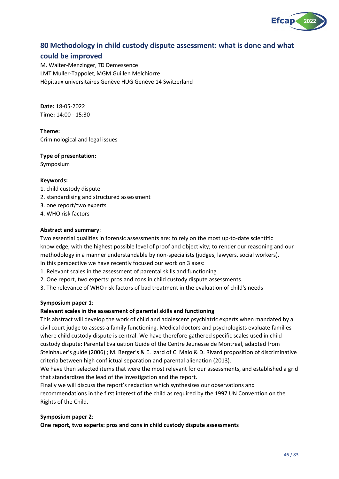

## **80 Methodology in child custody dispute assessment: what is done and what**

## **could be improved**

M. Walter-Menzinger, TD Demessence LMT Muller-Tappolet, MGM Guillen Melchiorre Hôpitaux universitaires Genève HUG Genève 14 Switzerland

**Date:** 18-05-2022 **Time:** 14:00 - 15:30

**Theme:** Criminological and legal issues

**Type of presentation:**

Symposium

#### **Keywords:**

- 1. child custody dispute
- 2. standardising and structured assessment
- 3. one report/two experts
- 4. WHO risk factors

#### **Abstract and summary**:

Two essential qualities in forensic assessments are: to rely on the most up-to-date scientific knowledge, with the highest possible level of proof and objectivity; to render our reasoning and our methodology in a manner understandable by non-specialists (judges, lawyers, social workers). In this perspective we have recently focused our work on 3 axes:

- 1. Relevant scales in the assessment of parental skills and functioning
- 2. One report, two experts: pros and cons in child custody dispute assessments.
- 3. The relevance of WHO risk factors of bad treatment in the evaluation of child's needs

#### **Symposium paper 1**:

#### **Relevant scales in the assessment of parental skills and functioning**

This abstract will develop the work of child and adolescent psychiatric experts when mandated by a civil court judge to assess a family functioning. Medical doctors and psychologists evaluate families where child custody dispute is central. We have therefore gathered specific scales used in child custody dispute: Parental Evaluation Guide of the Centre Jeunesse de Montreal, adapted from Steinhauer's guide (2006) ; M. Berger's & E. Izard of C. Malo & D. Rivard proposition of discriminative criteria between high conflictual separation and parental alienation (2013).

We have then selected items that were the most relevant for our assessments, and established a grid that standardizes the lead of the investigation and the report.

Finally we will discuss the report's redaction which synthesizes our observations and recommendations in the first interest of the child as required by the 1997 UN Convention on the Rights of the Child.

#### **Symposium paper 2**:

**One report, two experts: pros and cons in child custody dispute assessments**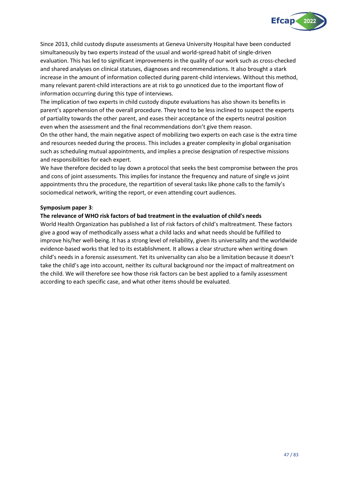

Since 2013, child custody dispute assessments at Geneva University Hospital have been conducted simultaneously by two experts instead of the usual and world-spread habit of single-driven evaluation. This has led to significant improvements in the quality of our work such as cross-checked and shared analyses on clinical statuses, diagnoses and recommendations. It also brought a stark increase in the amount of information collected during parent-child interviews. Without this method, many relevant parent-child interactions are at risk to go unnoticed due to the important flow of information occurring during this type of interviews.

The implication of two experts in child custody dispute evaluations has also shown its benefits in parent's apprehension of the overall procedure. They tend to be less inclined to suspect the experts of partiality towards the other parent, and eases their acceptance of the experts neutral position even when the assessment and the final recommendations don't give them reason.

On the other hand, the main negative aspect of mobilizing two experts on each case is the extra time and resources needed during the process. This includes a greater complexity in global organisation such as scheduling mutual appointments, and implies a precise designation of respective missions and responsibilities for each expert.

We have therefore decided to lay down a protocol that seeks the best compromise between the pros and cons of joint assessments. This implies for instance the frequency and nature of single vs joint appointments thru the procedure, the repartition of several tasks like phone calls to the family's sociomedical network, writing the report, or even attending court audiences.

#### **Symposium paper 3**:

#### **The relevance of WHO risk factors of bad treatment in the evaluation of child's needs**

World Health Organization has published a list of risk factors of child's maltreatment. These factors give a good way of methodically assess what a child lacks and what needs should be fulfilled to improve his/her well-being. It has a strong level of reliability, given its universality and the worldwide evidence-based works that led to its establishment. It allows a clear structure when writing down child's needs in a forensic assessment. Yet its universality can also be a limitation because it doesn't take the child's age into account, neither its cultural background nor the impact of maltreatment on the child. We will therefore see how those risk factors can be best applied to a family assessment according to each specific case, and what other items should be evaluated.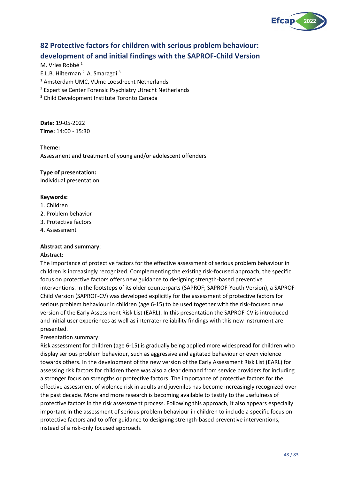

# **82 Protective factors for children with serious problem behaviour: development of and initial findings with the SAPROF-Child Version**

M. Vries Robbé<sup>1</sup>

E.L.B. Hilterman<sup>2</sup>, A. Smaragdi<sup>3</sup>

<sup>1</sup> Amsterdam UMC, VUmc Loosdrecht Netherlands

<sup>2</sup> Expertise Center Forensic Psychiatry Utrecht Netherlands

<sup>3</sup> Child Development Institute Toronto Canada

**Date:** 19-05-2022 **Time:** 14:00 - 15:30

#### **Theme:**

Assessment and treatment of young and/or adolescent offenders

#### **Type of presentation:**

Individual presentation

#### **Keywords:**

- 1. Children
- 2. Problem behavior
- 3. Protective factors
- 4. Assessment

## **Abstract and summary**:

#### Abstract:

The importance of protective factors for the effective assessment of serious problem behaviour in children is increasingly recognized. Complementing the existing risk-focused approach, the specific focus on protective factors offers new guidance to designing strength-based preventive interventions. In the footsteps of its older counterparts (SAPROF; SAPROF-Youth Version), a SAPROF-Child Version (SAPROF-CV) was developed explicitly for the assessment of protective factors for serious problem behaviour in children (age 6-15) to be used together with the risk-focused new version of the Early Assessment Risk List (EARL). In this presentation the SAPROF-CV is introduced and initial user experiences as well as interrater reliability findings with this new instrument are presented.

Presentation summary:

Risk assessment for children (age 6-15) is gradually being applied more widespread for children who display serious problem behaviour, such as aggressive and agitated behaviour or even violence towards others. In the development of the new version of the Early Assessment Risk List (EARL) for assessing risk factors for children there was also a clear demand from service providers for including a stronger focus on strengths or protective factors. The importance of protective factors for the effective assessment of violence risk in adults and juveniles has become increasingly recognized over the past decade. More and more research is becoming available to testify to the usefulness of protective factors in the risk assessment process. Following this approach, it also appears especially important in the assessment of serious problem behaviour in children to include a specific focus on protective factors and to offer guidance to designing strength-based preventive interventions, instead of a risk-only focused approach.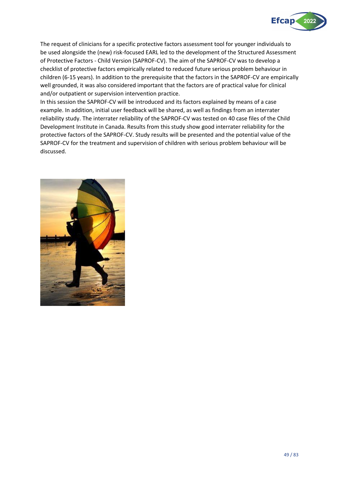

The request of clinicians for a specific protective factors assessment tool for younger individuals to be used alongside the (new) risk-focused EARL led to the development of the Structured Assessment of Protective Factors - Child Version (SAPROF-CV). The aim of the SAPROF-CV was to develop a checklist of protective factors empirically related to reduced future serious problem behaviour in children (6-15 years). In addition to the prerequisite that the factors in the SAPROF-CV are empirically well grounded, it was also considered important that the factors are of practical value for clinical and/or outpatient or supervision intervention practice.

In this session the SAPROF-CV will be introduced and its factors explained by means of a case example. In addition, initial user feedback will be shared, as well as findings from an interrater reliability study. The interrater reliability of the SAPROF-CV was tested on 40 case files of the Child Development Institute in Canada. Results from this study show good interrater reliability for the protective factors of the SAPROF-CV. Study results will be presented and the potential value of the SAPROF-CV for the treatment and supervision of children with serious problem behaviour will be discussed.

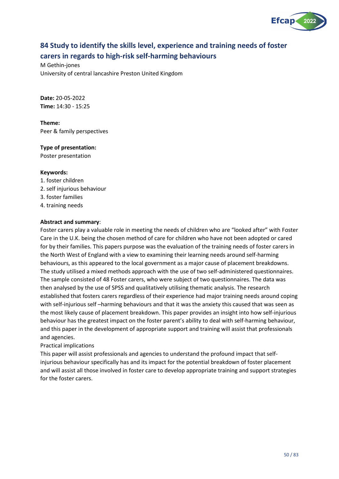

# **84 Study to identify the skills level, experience and training needs of foster carers in regards to high-risk self-harming behaviours**

M Gethin-jones University of central lancashire Preston United Kingdom

**Date:** 20-05-2022 **Time:** 14:30 - 15:25

**Theme:** Peer & family perspectives

## **Type of presentation:**

Poster presentation

#### **Keywords:**

- 1. foster children
- 2. self injurious behaviour
- 3. foster families
- 4. training needs

#### **Abstract and summary**:

Foster carers play a valuable role in meeting the needs of children who are "looked after" with Foster Care in the U.K. being the chosen method of care for children who have not been adopted or cared for by their families. This papers purpose was the evaluation of the training needs of foster carers in the North West of England with a view to examining their learning needs around self-harming behaviours, as this appeared to the local government as a major cause of placement breakdowns. The study utilised a mixed methods approach with the use of two self-administered questionnaires. The sample consisted of 48 Foster carers, who were subject of two questionnaires. The data was then analysed by the use of SPSS and qualitatively utilising thematic analysis. The research established that fosters carers regardless of their experience had major training needs around coping with self-injurious self –harming behaviours and that it was the anxiety this caused that was seen as the most likely cause of placement breakdown. This paper provides an insight into how self-injurious behaviour has the greatest impact on the foster parent's ability to deal with self-harming behaviour, and this paper in the development of appropriate support and training will assist that professionals and agencies.

Practical implications

This paper will assist professionals and agencies to understand the profound impact that selfinjurious behaviour specifically has and its impact for the potential breakdown of foster placement and will assist all those involved in foster care to develop appropriate training and support strategies for the foster carers.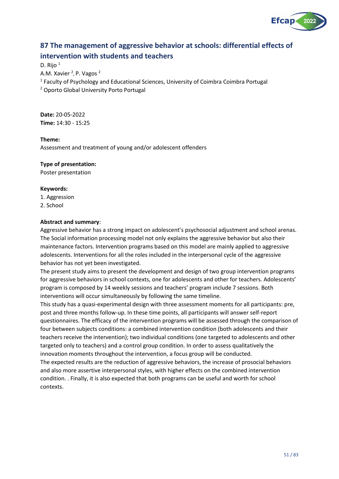

# **87 The management of aggressive behavior at schools: differential effects of intervention with students and teachers**

D. Rijo <sup>1</sup>

A.M. Xavier <sup>2</sup>, P. Vagos <sup>2</sup>

<sup>1</sup> Faculty of Psychology and Educational Sciences, University of Coimbra Coimbra Portugal

<sup>2</sup> Oporto Global University Porto Portugal

**Date:** 20-05-2022 **Time:** 14:30 - 15:25

#### **Theme:**

Assessment and treatment of young and/or adolescent offenders

#### **Type of presentation:**

Poster presentation

#### **Keywords:**

1. Aggression 2. School

#### **Abstract and summary**:

Aggressive behavior has a strong impact on adolescent's psychosocial adjustment and school arenas. The Social information processing model not only explains the aggressive behavior but also their maintenance factors. Intervention programs based on this model are mainly applied to aggressive adolescents. Interventions for all the roles included in the interpersonal cycle of the aggressive behavior has not yet been investigated.

The present study aims to present the development and design of two group intervention programs for aggressive behaviors in school contexts, one for adolescents and other for teachers. Adolescents' program is composed by 14 weekly sessions and teachers' program include 7 sessions. Both interventions will occur simultaneously by following the same timeline.

This study has a quasi-experimental design with three assessment moments for all participants: pre, post and three months follow-up. In these time points, all participants will answer self-report questionnaires. The efficacy of the intervention programs will be assessed through the comparison of four between subjects conditions: a combined intervention condition (both adolescents and their teachers receive the intervention); two individual conditions (one targeted to adolescents and other targeted only to teachers) and a control group condition. In order to assess qualitatively the innovation moments throughout the intervention, a focus group will be conducted.

The expected results are the reduction of aggressive behaviors, the increase of prosocial behaviors and also more assertive interpersonal styles, with higher effects on the combined intervention condition. . Finally, it is also expected that both programs can be useful and worth for school contexts.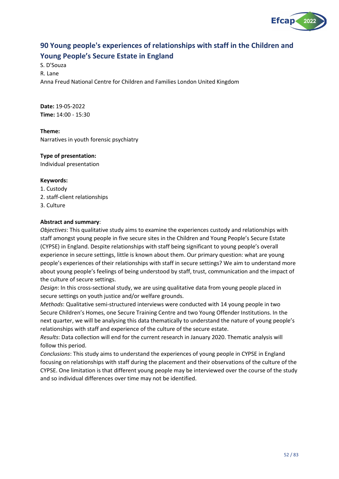

# **90 Young people's experiences of relationships with staff in the Children and Young People's Secure Estate in England**

S. D'Souza R. Lane Anna Freud National Centre for Children and Families London United Kingdom

**Date:** 19-05-2022 **Time:** 14:00 - 15:30

**Theme:** Narratives in youth forensic psychiatry

## **Type of presentation:**

Individual presentation

#### **Keywords:**

- 1. Custody
- 2. staff-client relationships
- 3. Culture

#### **Abstract and summary**:

*Objectives*: This qualitative study aims to examine the experiences custody and relationships with staff amongst young people in five secure sites in the Children and Young People's Secure Estate (CYPSE) in England. Despite relationships with staff being significant to young people's overall experience in secure settings, little is known about them. Our primary question: what are young people's experiences of their relationships with staff in secure settings? We aim to understand more about young people's feelings of being understood by staff, trust, communication and the impact of the culture of secure settings.

*Design*: In this cross-sectional study, we are using qualitative data from young people placed in secure settings on youth justice and/or welfare grounds.

*Methods*: Qualitative semi-structured interviews were conducted with 14 young people in two Secure Children's Homes, one Secure Training Centre and two Young Offender Institutions. In the next quarter, we will be analysing this data thematically to understand the nature of young people's relationships with staff and experience of the culture of the secure estate.

*Results*: Data collection will end for the current research in January 2020. Thematic analysis will follow this period.

*Conclusions*: This study aims to understand the experiences of young people in CYPSE in England focusing on relationships with staff during the placement and their observations of the culture of the CYPSE. One limitation is that different young people may be interviewed over the course of the study and so individual differences over time may not be identified.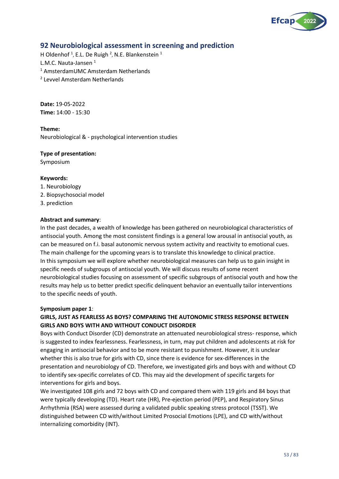

## **92 Neurobiological assessment in screening and prediction**

H Oldenhof<sup>1</sup>, E.L. De Ruigh<sup>2</sup>, N.E. Blankenstein<sup>1</sup>

L.M.C. Nauta-Jansen<sup>1</sup>

- <sup>1</sup> AmsterdamUMC Amsterdam Netherlands
- 2 Levvel Amsterdam Netherlands

**Date:** 19-05-2022 **Time:** 14:00 - 15:30

#### **Theme:**

Neurobiological & - psychological intervention studies

# **Type of presentation:**

Symposium

#### **Keywords:**

1. Neurobiology 2. Biopsychosocial model 3. prediction

#### **Abstract and summary**:

In the past decades, a wealth of knowledge has been gathered on neurobiological characteristics of antisocial youth. Among the most consistent findings is a general low arousal in antisocial youth, as can be measured on f.i. basal autonomic nervous system activity and reactivity to emotional cues. The main challenge for the upcoming years is to translate this knowledge to clinical practice. In this symposium we will explore whether neurobiological measures can help us to gain insight in specific needs of subgroups of antisocial youth. We will discuss results of some recent neurobiological studies focusing on assessment of specific subgroups of antisocial youth and how the results may help us to better predict specific delinquent behavior an eventually tailor interventions to the specific needs of youth.

#### **Symposium paper 1**:

## **GIRLS, JUST AS FEARLESS AS BOYS? COMPARING THE AUTONOMIC STRESS RESPONSE BETWEEN GIRLS AND BOYS WITH AND WITHOUT CONDUCT DISORDER**

Boys with Conduct Disorder (CD) demonstrate an attenuated neurobiological stress- response, which is suggested to index fearlessness. Fearlessness, in turn, may put children and adolescents at risk for engaging in antisocial behavior and to be more resistant to punishment. However, it is unclear whether this is also true for girls with CD, since there is evidence for sex-differences in the presentation and neurobiology of CD. Therefore, we investigated girls and boys with and without CD to identify sex-specific correlates of CD. This may aid the development of specific targets for interventions for girls and boys.

We investigated 108 girls and 72 boys with CD and compared them with 119 girls and 84 boys that were typically developing (TD). Heart rate (HR), Pre-ejection period (PEP), and Respiratory Sinus Arrhythmia (RSA) were assessed during a validated public speaking stress protocol (TSST). We distinguished between CD with/without Limited Prosocial Emotions (LPE), and CD with/without internalizing comorbidity (INT).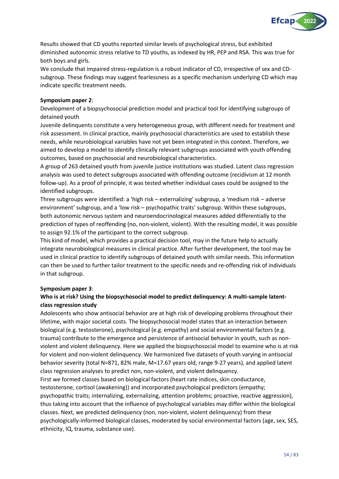

Results showed that CD youths reported similar levels of psychological stress, but exhibited diminished autonomic stress relative to TD youths, as indexed by HR, PEP and RSA. This was true for both boys and girls.

We conclude that impaired stress-regulation is a robust indicator of CD, irrespective of sex and CDsubgroup. These findings may suggest fearlessness as a specific mechanism underlying CD which may indicate specific treatment needs.

#### **Symposium paper 2**:

Development of a biopsychosocial prediction model and practical tool for identifying subgroups of detained youth

Juvenile delinquents constitute a very heterogeneous group, with different needs for treatment and risk assessment. In clinical practice, mainly psychosocial characteristics are used to establish these needs, while neurobiological variables have not yet been integrated in this context. Therefore, we aimed to develop a model to identify clinically relevant subgroups associated with youth offending outcomes, based on psychosocial and neurobiological characteristics.

A group of 263 detained youth from juvenile justice institutions was studied. Latent class regression analysis was used to detect subgroups associated with offending outcome (recidivism at 12 month follow-up). As a proof of principle, it was tested whether individual cases could be assigned to the identified subgroups.

Three subgroups were identified: a 'high risk – externalizing' subgroup, a 'medium risk – adverse environment' subgroup, and a 'low risk – psychopathic traits' subgroup. Within these subgroups, both autonomic nervous system and neuroendocrinological measures added differentially to the prediction of types of reoffending (no, non-violent, violent). With the resulting model, it was possible to assign 92.1% of the participant to the correct subgroup.

This kind of model, which provides a practical decision tool, may in the future help to actually integrate neurobiological measures in clinical practice. After further development, the tool may be used in clinical practice to identify subgroups of detained youth with similar needs. This information can then be used to further tailor treatment to the specific needs and re-offending risk of individuals in that subgroup.

## **Symposium paper 3**:

## **Who is at risk? Using the biopsychosocial model to predict delinquency: A multi-sample latentclass regression study**

Adolescents who show antisocial behavior are at high risk of developing problems throughout their lifetime, with major societal costs. The biopsychosocial model states that an interaction between biological (e.g. testosterone), psychological (e.g. empathy) and social environmental factors (e.g. trauma) contribute to the emergence and persistence of antisocial behavior in youth, such as nonviolent and violent delinquency. Here we applied the biopsychosocial model to examine who is at risk for violent and non-violent delinquency. We harmonized five datasets of youth varying in antisocial behavior severity (total N=871, 82% male, M=17.67 years old, range 9-27 years), and applied latent class regression analyses to predict non, non-violent, and violent delinquency.

First we formed classes based on biological factors (heart rate indices, skin conductance, testosterone, cortisol (awakening)) and incorporated psychological predictors (empathy; psychopathic traits; internalizing, externalizing, attention problems; proactive, reactive aggression), thus taking into account that the influence of psychological variables may differ within the biological classes. Next, we predicted delinquency (non, non-violent, violent delinquency) from these psychologically-informed biological classes, moderated by social environmental factors (age, sex, SES, ethnicity, IQ, trauma, substance use).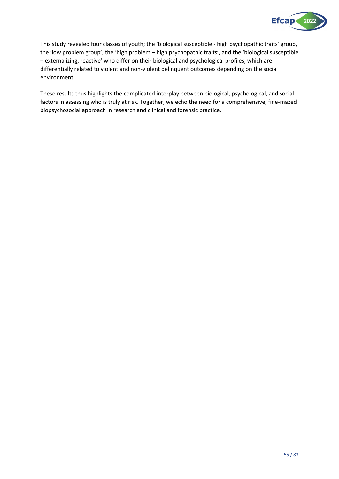

This study revealed four classes of youth; the 'biological susceptible - high psychopathic traits' group, the 'low problem group', the 'high problem – high psychopathic traits', and the 'biological susceptible – externalizing, reactive' who differ on their biological and psychological profiles, which are differentially related to violent and non-violent delinquent outcomes depending on the social environment.

These results thus highlights the complicated interplay between biological, psychological, and social factors in assessing who is truly at risk. Together, we echo the need for a comprehensive, fine-mazed biopsychosocial approach in research and clinical and forensic practice.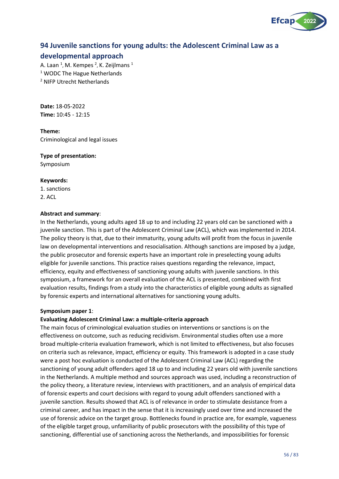

## **94 Juvenile sanctions for young adults: the Adolescent Criminal Law as a**

## **developmental approach**

A. Laan <sup>1</sup>, M. Kempes <sup>2</sup>, K. Zeijlmans <sup>1</sup> <sup>1</sup> WODC The Hague Netherlands <sup>2</sup> NIFP Utrecht Netherlands

**Date:** 18-05-2022 **Time:** 10:45 - 12:15

**Theme:** Criminological and legal issues

#### **Type of presentation:**

Symposium

#### **Keywords:**

1. sanctions 2. ACL

#### **Abstract and summary**:

In the Netherlands, young adults aged 18 up to and including 22 years old can be sanctioned with a juvenile sanction. This is part of the Adolescent Criminal Law (ACL), which was implemented in 2014. The policy theory is that, due to their immaturity, young adults will profit from the focus in juvenile law on developmental interventions and resocialisation. Although sanctions are imposed by a judge, the public prosecutor and forensic experts have an important role in preselecting young adults eligible for juvenile sanctions. This practice raises questions regarding the relevance, impact, efficiency, equity and effectiveness of sanctioning young adults with juvenile sanctions. In this symposium, a framework for an overall evaluation of the ACL is presented, combined with first evaluation results, findings from a study into the characteristics of eligible young adults as signalled by forensic experts and international alternatives for sanctioning young adults.

#### **Symposium paper 1**:

#### **Evaluating Adolescent Criminal Law: a multiple-criteria approach**

The main focus of criminological evaluation studies on interventions or sanctions is on the effectiveness on outcome, such as reducing recidivism. Environmental studies often use a more broad multiple-criteria evaluation framework, which is not limited to effectiveness, but also focuses on criteria such as relevance, impact, efficiency or equity. This framework is adopted in a case study were a post hoc evaluation is conducted of the Adolescent Criminal Law (ACL) regarding the sanctioning of young adult offenders aged 18 up to and including 22 years old with juvenile sanctions in the Netherlands. A multiple method and sources approach was used, including a reconstruction of the policy theory, a literature review, interviews with practitioners, and an analysis of empirical data of forensic experts and court decisions with regard to young adult offenders sanctioned with a juvenile sanction. Results showed that ACL is of relevance in order to stimulate desistance from a criminal career, and has impact in the sense that it is increasingly used over time and increased the use of forensic advice on the target group. Bottlenecks found in practice are, for example, vagueness of the eligible target group, unfamiliarity of public prosecutors with the possibility of this type of sanctioning, differential use of sanctioning across the Netherlands, and impossibilities for forensic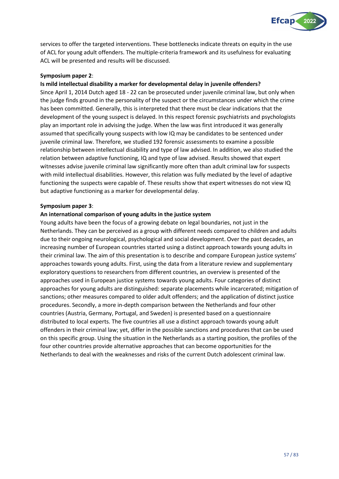

services to offer the targeted interventions. These bottlenecks indicate threats on equity in the use of ACL for young adult offenders. The multiple-criteria framework and its usefulness for evaluating ACL will be presented and results will be discussed.

#### **Symposium paper 2**:

### **Is mild intellectual disability a marker for developmental delay in juvenile offenders?**

Since April 1, 2014 Dutch aged 18 - 22 can be prosecuted under juvenile criminal law, but only when the judge finds ground in the personality of the suspect or the circumstances under which the crime has been committed. Generally, this is interpreted that there must be clear indications that the development of the young suspect is delayed. In this respect forensic psychiatrists and psychologists play an important role in advising the judge. When the law was first introduced it was generally assumed that specifically young suspects with low IQ may be candidates to be sentenced under juvenile criminal law. Therefore, we studied 192 forensic assessments to examine a possible relationship between intellectual disability and type of law advised. In addition, we also studied the relation between adaptive functioning, IQ and type of law advised. Results showed that expert witnesses advise juvenile criminal law significantly more often than adult criminal law for suspects with mild intellectual disabilities. However, this relation was fully mediated by the level of adaptive functioning the suspects were capable of. These results show that expert witnesses do not view IQ but adaptive functioning as a marker for developmental delay.

#### **Symposium paper 3**:

#### **An international comparison of young adults in the justice system**

Young adults have been the focus of a growing debate on legal boundaries, not just in the Netherlands. They can be perceived as a group with different needs compared to children and adults due to their ongoing neurological, psychological and social development. Over the past decades, an increasing number of European countries started using a distinct approach towards young adults in their criminal law. The aim of this presentation is to describe and compare European justice systems' approaches towards young adults. First, using the data from a literature review and supplementary exploratory questions to researchers from different countries, an overview is presented of the approaches used in European justice systems towards young adults. Four categories of distinct approaches for young adults are distinguished: separate placements while incarcerated; mitigation of sanctions; other measures compared to older adult offenders; and the application of distinct justice procedures. Secondly, a more in-depth comparison between the Netherlands and four other countries (Austria, Germany, Portugal, and Sweden) is presented based on a questionnaire distributed to local experts. The five countries all use a distinct approach towards young adult offenders in their criminal law; yet, differ in the possible sanctions and procedures that can be used on this specific group. Using the situation in the Netherlands as a starting position, the profiles of the four other countries provide alternative approaches that can become opportunities for the Netherlands to deal with the weaknesses and risks of the current Dutch adolescent criminal law.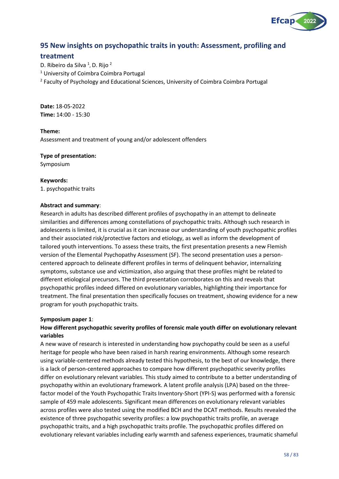

## **95 New insights on psychopathic traits in youth: Assessment, profiling and**

## **treatment**

D. Ribeiro da Silva <sup>1</sup>, D. Rijo <sup>2</sup> <sup>1</sup> University of Coimbra Coimbra Portugal <sup>2</sup> Faculty of Psychology and Educational Sciences, University of Coimbra Coimbra Portugal

**Date:** 18-05-2022 **Time:** 14:00 - 15:30

#### **Theme:**

Assessment and treatment of young and/or adolescent offenders

#### **Type of presentation:**

Symposium

#### **Keywords:**

1. psychopathic traits

#### **Abstract and summary**:

Research in adults has described different profiles of psychopathy in an attempt to delineate similarities and differences among constellations of psychopathic traits. Although such research in adolescents is limited, it is crucial as it can increase our understanding of youth psychopathic profiles and their associated risk/protective factors and etiology, as well as inform the development of tailored youth interventions. To assess these traits, the first presentation presents a new Flemish version of the Elemental Psychopathy Assessment (SF). The second presentation uses a personcentered approach to delineate different profiles in terms of delinquent behavior, internalizing symptoms, substance use and victimization, also arguing that these profiles might be related to different etiological precursors. The third presentation corroborates on this and reveals that psychopathic profiles indeed differed on evolutionary variables, highlighting their importance for treatment. The final presentation then specifically focuses on treatment, showing evidence for a new program for youth psychopathic traits.

#### **Symposium paper 1**:

## **How different psychopathic severity profiles of forensic male youth differ on evolutionary relevant variables**

A new wave of research is interested in understanding how psychopathy could be seen as a useful heritage for people who have been raised in harsh rearing environments. Although some research using variable-centered methods already tested this hypothesis, to the best of our knowledge, there is a lack of person-centered approaches to compare how different psychopathic severity profiles differ on evolutionary relevant variables. This study aimed to contribute to a better understanding of psychopathy within an evolutionary framework. A latent profile analysis (LPA) based on the threefactor model of the Youth Psychopathic Traits Inventory-Short (YPI-S) was performed with a forensic sample of 459 male adolescents. Significant mean differences on evolutionary relevant variables across profiles were also tested using the modified BCH and the DCAT methods. Results revealed the existence of three psychopathic severity profiles: a low psychopathic traits profile, an average psychopathic traits, and a high psychopathic traits profile. The psychopathic profiles differed on evolutionary relevant variables including early warmth and safeness experiences, traumatic shameful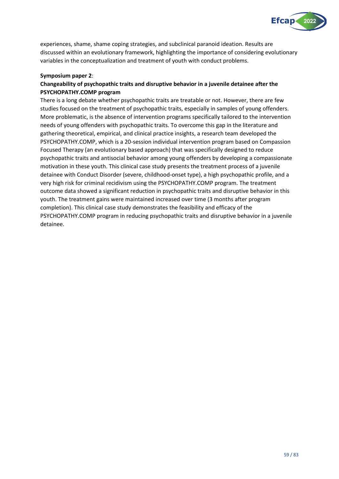

experiences, shame, shame coping strategies, and subclinical paranoid ideation. Results are discussed within an evolutionary framework, highlighting the importance of considering evolutionary variables in the conceptualization and treatment of youth with conduct problems.

#### **Symposium paper 2**:

## **Changeability of psychopathic traits and disruptive behavior in a juvenile detainee after the PSYCHOPATHY.COMP program**

There is a long debate whether psychopathic traits are treatable or not. However, there are few studies focused on the treatment of psychopathic traits, especially in samples of young offenders. More problematic, is the absence of intervention programs specifically tailored to the intervention needs of young offenders with psychopathic traits. To overcome this gap in the literature and gathering theoretical, empirical, and clinical practice insights, a research team developed the PSYCHOPATHY.COMP, which is a 20-session individual intervention program based on Compassion Focused Therapy (an evolutionary based approach) that was specifically designed to reduce psychopathic traits and antisocial behavior among young offenders by developing a compassionate motivation in these youth. This clinical case study presents the treatment process of a juvenile detainee with Conduct Disorder (severe, childhood-onset type), a high psychopathic profile, and a very high risk for criminal recidivism using the PSYCHOPATHY.COMP program. The treatment outcome data showed a significant reduction in psychopathic traits and disruptive behavior in this youth. The treatment gains were maintained increased over time (3 months after program completion). This clinical case study demonstrates the feasibility and efficacy of the PSYCHOPATHY.COMP program in reducing psychopathic traits and disruptive behavior in a juvenile detainee.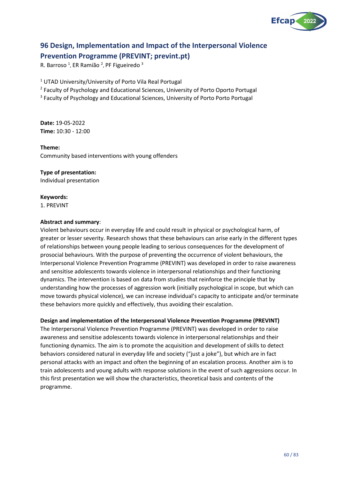

# **96 Design, Implementation and Impact of the Interpersonal Violence Prevention Programme (PREVINT; prevint.pt)**

R. Barroso<sup>1</sup>, ER Ramião<sup>2</sup>, PF Figueiredo<sup>3</sup>

<sup>1</sup> UTAD University/University of Porto Vila Real Portugal

<sup>2</sup> Faculty of Psychology and Educational Sciences, University of Porto Oporto Portugal

<sup>3</sup> Faculty of Psychology and Educational Sciences, University of Porto Porto Portugal

**Date:** 19-05-2022 **Time:** 10:30 - 12:00

#### **Theme:**

Community based interventions with young offenders

#### **Type of presentation:**

Individual presentation

#### **Keywords:**

1. PREVINT

#### **Abstract and summary**:

Violent behaviours occur in everyday life and could result in physical or psychological harm, of greater or lesser severity. Research shows that these behaviours can arise early in the different types of relationships between young people leading to serious consequences for the development of prosocial behaviours. With the purpose of preventing the occurrence of violent behaviours, the Interpersonal Violence Prevention Programme (PREVINT) was developed in order to raise awareness and sensitise adolescents towards violence in interpersonal relationships and their functioning dynamics. The intervention is based on data from studies that reinforce the principle that by understanding how the processes of aggression work (initially psychological in scope, but which can move towards physical violence), we can increase individual's capacity to anticipate and/or terminate these behaviors more quickly and effectively, thus avoiding their escalation.

#### **Design and implementation of the Interpersonal Violence Prevention Programme (PREVINT)**

The Interpersonal Violence Prevention Programme (PREVINT) was developed in order to raise awareness and sensitise adolescents towards violence in interpersonal relationships and their functioning dynamics. The aim is to promote the acquisition and development of skills to detect behaviors considered natural in everyday life and society ("just a joke"), but which are in fact personal attacks with an impact and often the beginning of an escalation process. Another aim is to train adolescents and young adults with response solutions in the event of such aggressions occur. In this first presentation we will show the characteristics, theoretical basis and contents of the programme.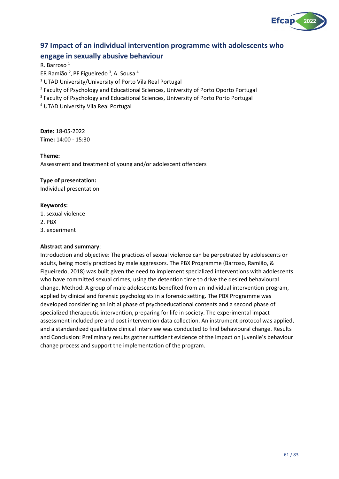

# **97 Impact of an individual intervention programme with adolescents who engage in sexually abusive behaviour**

R. Barroso<sup>1</sup>

ER Ramião <sup>2</sup>, PF Figueiredo <sup>3</sup>, A. Sousa <sup>4</sup>

<sup>1</sup> UTAD University/University of Porto Vila Real Portugal

<sup>2</sup> Faculty of Psychology and Educational Sciences, University of Porto Oporto Portugal

<sup>3</sup> Faculty of Psychology and Educational Sciences, University of Porto Porto Portugal

<sup>4</sup> UTAD University Vila Real Portugal

**Date:** 18-05-2022 **Time:** 14:00 - 15:30

#### **Theme:**

Assessment and treatment of young and/or adolescent offenders

#### **Type of presentation:**

Individual presentation

#### **Keywords:**

1. sexual violence

2. PBX

3. experiment

#### **Abstract and summary**:

Introduction and objective: The practices of sexual violence can be perpetrated by adolescents or adults, being mostly practiced by male aggressors. The PBX Programme (Barroso, Ramião, & Figueiredo, 2018) was built given the need to implement specialized interventions with adolescents who have committed sexual crimes, using the detention time to drive the desired behavioural change. Method: A group of male adolescents benefited from an individual intervention program, applied by clinical and forensic psychologists in a forensic setting. The PBX Programme was developed considering an initial phase of psychoeducational contents and a second phase of specialized therapeutic intervention, preparing for life in society. The experimental impact assessment included pre and post intervention data collection. An instrument protocol was applied, and a standardized qualitative clinical interview was conducted to find behavioural change. Results and Conclusion: Preliminary results gather sufficient evidence of the impact on juvenile's behaviour change process and support the implementation of the program.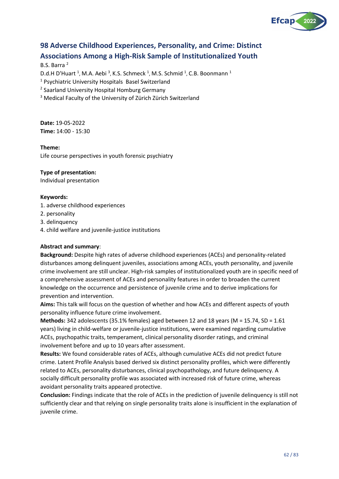

# **98 Adverse Childhood Experiences, Personality, and Crime: Distinct Associations Among a High-Risk Sample of Institutionalized Youth**

#### B.S. Barra <sup>2</sup>

D.d.H D'Huart <sup>1</sup>, M.A. Aebi <sup>3</sup>, K.S. Schmeck <sup>1</sup>, M.S. Schmid <sup>1</sup>, C.B. Boonmann <sup>1</sup>

<sup>1</sup> Psychiatric University Hospitals Basel Switzerland

<sup>2</sup> Saarland University Hospital Homburg Germany

<sup>3</sup> Medical Faculty of the University of Zürich Zürich Switzerland

**Date:** 19-05-2022 **Time:** 14:00 - 15:30

#### **Theme:**

Life course perspectives in youth forensic psychiatry

#### **Type of presentation:**

Individual presentation

#### **Keywords:**

- 1. adverse childhood experiences
- 2. personality
- 3. delinquency
- 4. child welfare and juvenile-justice institutions

#### **Abstract and summary**:

**Background:** Despite high rates of adverse childhood experiences (ACEs) and personality-related disturbances among delinquent juveniles, associations among ACEs, youth personality, and juvenile crime involvement are still unclear. High-risk samples of institutionalized youth are in specific need of a comprehensive assessment of ACEs and personality features in order to broaden the current knowledge on the occurrence and persistence of juvenile crime and to derive implications for prevention and intervention.

**Aims:** This talk will focus on the question of whether and how ACEs and different aspects of youth personality influence future crime involvement.

**Methods:** 342 adolescents (35.1% females) aged between 12 and 18 years (M = 15.74, SD = 1.61 years) living in child-welfare or juvenile-justice institutions, were examined regarding cumulative ACEs, psychopathic traits, temperament, clinical personality disorder ratings, and criminal involvement before and up to 10 years after assessment.

**Results:** We found considerable rates of ACEs, although cumulative ACEs did not predict future crime. Latent Profile Analysis based derived six distinct personality profiles, which were differently related to ACEs, personality disturbances, clinical psychopathology, and future delinquency. A socially difficult personality profile was associated with increased risk of future crime, whereas avoidant personality traits appeared protective.

**Conclusion:** Findings indicate that the role of ACEs in the prediction of juvenile delinquency is still not sufficiently clear and that relying on single personality traits alone is insufficient in the explanation of juvenile crime.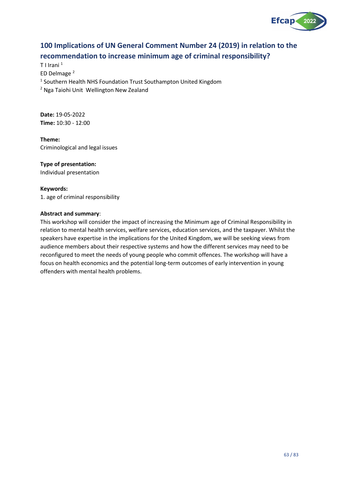

# **100 Implications of UN General Comment Number 24 (2019) in relation to the recommendation to increase minimum age of criminal responsibility?**

T I Irani <sup>1</sup> ED Delmage <sup>2</sup> <sup>1</sup> Southern Health NHS Foundation Trust Southampton United Kingdom <sup>2</sup> Nga Taiohi Unit Wellington New Zealand

**Date:** 19-05-2022 **Time:** 10:30 - 12:00

**Theme:** Criminological and legal issues

## **Type of presentation:**

Individual presentation

#### **Keywords:**

1. age of criminal responsibility

#### **Abstract and summary**:

This workshop will consider the impact of increasing the Minimum age of Criminal Responsibility in relation to mental health services, welfare services, education services, and the taxpayer. Whilst the speakers have expertise in the implications for the United Kingdom, we will be seeking views from audience members about their respective systems and how the different services may need to be reconfigured to meet the needs of young people who commit offences. The workshop will have a focus on health economics and the potential long-term outcomes of early intervention in young offenders with mental health problems.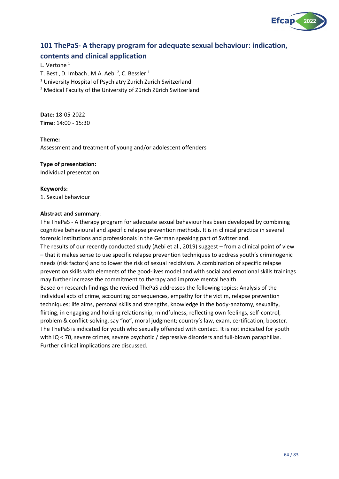

# **101 ThePaS- A therapy program for adequate sexual behaviour: indication, contents and clinical application**

L. Vertone<sup>1</sup>

T. Best , D. Imbach , M.A. Aebi  $^2$ , C. Bessler  $^1$ 

<sup>1</sup> University Hospital of Psychiatry Zurich Zurich Switzerland

<sup>2</sup> Medical Faculty of the University of Zürich Zürich Switzerland

**Date:** 18-05-2022 **Time:** 14:00 - 15:30

#### **Theme:**

Assessment and treatment of young and/or adolescent offenders

#### **Type of presentation:**

Individual presentation

#### **Keywords:**

1. Sexual behaviour

#### **Abstract and summary**:

The ThePaS - A therapy program for adequate sexual behaviour has been developed by combining cognitive behavioural and specific relapse prevention methods. It is in clinical practice in several forensic institutions and professionals in the German speaking part of Switzerland. The results of our recently conducted study (Aebi et al., 2019) suggest – from a clinical point of view – that it makes sense to use specific relapse prevention techniques to address youth's criminogenic needs (risk factors) and to lower the risk of sexual recidivism. A combination of specific relapse prevention skills with elements of the good-lives model and with social and emotional skills trainings may further increase the commitment to therapy and improve mental health. Based on research findings the revised ThePaS addresses the following topics: Analysis of the individual acts of crime, accounting consequences, empathy for the victim, relapse prevention techniques; life aims, personal skills and strengths, knowledge in the body-anatomy, sexuality, flirting, in engaging and holding relationship, mindfulness, reflecting own feelings, self-control, problem & conflict-solving, say "no", moral judgment; country's law, exam, certification, booster. The ThePaS is indicated for youth who sexually offended with contact. It is not indicated for youth with IQ < 70, severe crimes, severe psychotic / depressive disorders and full-blown paraphilias. Further clinical implications are discussed.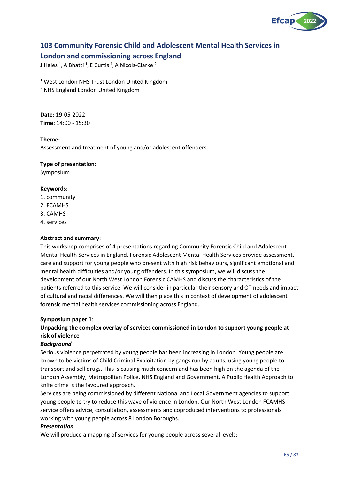

## **103 Community Forensic Child and Adolescent Mental Health Services in**

## **London and commissioning across England**

J Hales <sup>1</sup>, A Bhatti <sup>1</sup>, E Curtis <sup>1</sup>, A Nicols-Clarke <sup>2</sup>

<sup>1</sup> West London NHS Trust London United Kingdom

<sup>2</sup> NHS England London United Kingdom

**Date:** 19-05-2022 **Time:** 14:00 - 15:30

### **Theme:**

Assessment and treatment of young and/or adolescent offenders

#### **Type of presentation:**

Symposium

#### **Keywords:**

- 1. community
- 2. FCAMHS
- 3. CAMHS
- 4. services

#### **Abstract and summary**:

This workshop comprises of 4 presentations regarding Community Forensic Child and Adolescent Mental Health Services in England. Forensic Adolescent Mental Health Services provide assessment, care and support for young people who present with high risk behaviours, significant emotional and mental health difficulties and/or young offenders. In this symposium, we will discuss the development of our North West London Forensic CAMHS and discuss the characteristics of the patients referred to this service. We will consider in particular their sensory and OT needs and impact of cultural and racial differences. We will then place this in context of development of adolescent forensic mental health services commissioning across England.

#### **Symposium paper 1**:

## **Unpacking the complex overlay of services commissioned in London to support young people at risk of violence**

#### *Background*

Serious violence perpetrated by young people has been increasing in London. Young people are known to be victims of Child Criminal Exploitation by gangs run by adults, using young people to transport and sell drugs. This is causing much concern and has been high on the agenda of the London Assembly, Metropolitan Police, NHS England and Government. A Public Health Approach to knife crime is the favoured approach.

Services are being commissioned by different National and Local Government agencies to support young people to try to reduce this wave of violence in London. Our North West London FCAMHS service offers advice, consultation, assessments and coproduced interventions to professionals working with young people across 8 London Boroughs.

#### *Presentation*

We will produce a mapping of services for young people across several levels: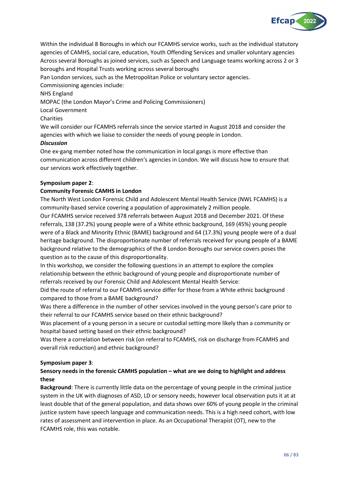

Within the individual 8 Boroughs in which our FCAMHS service works, such as the individual statutory agencies of CAMHS, social care, education, Youth Offending Services and smaller voluntary agencies Across several Boroughs as joined services, such as Speech and Language teams working across 2 or 3 boroughs and Hospital Trusts working across several boroughs

Pan London services, such as the Metropolitan Police or voluntary sector agencies.

Commissioning agencies include:

NHS England

MOPAC (the London Mayor's Crime and Policing Commissioners)

Local Government

## Charities

We will consider our FCAMHS referrals since the service started in August 2018 and consider the agencies with which we liaise to consider the needs of young people in London.

## *Discussion*

One ex-gang member noted how the communication in local gangs is more effective than communication across different children's agencies in London. We will discuss how to ensure that our services work effectively together.

## **Symposium paper 2**:

## **Community Forensic CAMHS in London**

The North West London Forensic Child and Adolescent Mental Health Service (NWL FCAMHS) is a community-based service covering a population of approximately 2 million people.

Our FCAMHS service received 378 referrals between August 2018 and December 2021. Of these referrals, 138 (37.2%) young people were of a White ethnic background, 169 (45%) young people were of a Black and Minority Ethnic (BAME) background and 64 (17.3%) young people were of a dual heritage background. The disproportionate number of referrals received for young people of a BAME background relative to the demographics of the 8 London Boroughs our service covers poses the question as to the cause of this disproportionality.

In this workshop, we consider the following questions in an attempt to explore the complex relationship between the ethnic background of young people and disproportionate number of referrals received by our Forensic Child and Adolescent Mental Health Service:

Did the route of referral to our FCAMHS service differ for those from a White ethnic background compared to those from a BAME background?

Was there a difference in the number of other services involved in the young person's care prior to their referral to our FCAMHS service based on their ethnic background?

Was placement of a young person in a secure or custodial setting more likely than a community or hospital based setting based on their ethnic background?

Was there a correlation between risk (on referral to FCAMHS, risk on discharge from FCAMHS and overall risk reduction) and ethnic background?

## **Symposium paper 3**:

## **Sensory needs in the forensic CAMHS population – what are we doing to highlight and address these**

**Background**: There is currently little data on the percentage of young people in the criminal justice system in the UK with diagnoses of ASD, LD or sensory needs, however local observation puts it at at least double that of the general population, and data shows over 60% of young people in the criminal justice system have speech language and communication needs. This is a high need cohort, with low rates of assessment and intervention in place. As an Occupational Therapist (OT), new to the FCAMHS role, this was notable.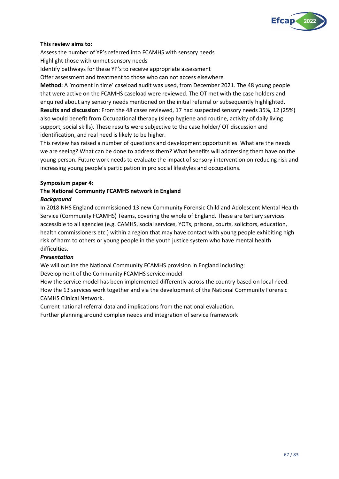

#### **This review aims to:**

Assess the number of YP's referred into FCAMHS with sensory needs Highlight those with unmet sensory needs

Identify pathways for these YP's to receive appropriate assessment

Offer assessment and treatment to those who can not access elsewhere

**Method:** A 'moment in time' caseload audit was used, from December 2021. The 48 young people that were active on the FCAMHS caseload were reviewed. The OT met with the case holders and enquired about any sensory needs mentioned on the initial referral or subsequently highlighted. **Results and discussion**: From the 48 cases reviewed, 17 had suspected sensory needs 35%, 12 (25%) also would benefit from Occupational therapy (sleep hygiene and routine, activity of daily living support, social skills). These results were subjective to the case holder/ OT discussion and identification, and real need is likely to be higher.

This review has raised a number of questions and development opportunities. What are the needs we are seeing? What can be done to address them? What benefits will addressing them have on the young person. Future work needs to evaluate the impact of sensory intervention on reducing risk and increasing young people's participation in pro social lifestyles and occupations.

#### **Symposium paper 4**:

### **The National Community FCAMHS network in England** *Background*

In 2018 NHS England commissioned 13 new Community Forensic Child and Adolescent Mental Health Service (Community FCAMHS) Teams, covering the whole of England. These are tertiary services accessible to all agencies (e.g. CAMHS, social services, YOTs, prisons, courts, solicitors, education, health commissioners etc.) within a region that may have contact with young people exhibiting high risk of harm to others or young people in the youth justice system who have mental health difficulties.

#### *Presentation*

We will outline the National Community FCAMHS provision in England including:

Development of the Community FCAMHS service model

How the service model has been implemented differently across the country based on local need. How the 13 services work together and via the development of the National Community Forensic CAMHS Clinical Network.

Current national referral data and implications from the national evaluation.

Further planning around complex needs and integration of service framework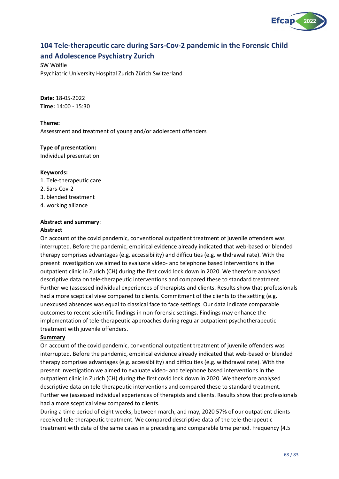

# **104 Tele-therapeutic care during Sars-Cov-2 pandemic in the Forensic Child and Adolescence Psychiatry Zurich**

SW Wölfle Psychiatric University Hospital Zurich Zürich Switzerland

**Date:** 18-05-2022 **Time:** 14:00 - 15:30

**Theme:** Assessment and treatment of young and/or adolescent offenders

## **Type of presentation:**

Individual presentation

#### **Keywords:**

- 1. Tele-therapeutic care
- 2. Sars-Cov-2
- 3. blended treatment
- 4. working alliance

## **Abstract and summary**:

#### **Abstract**

On account of the covid pandemic, conventional outpatient treatment of juvenile offenders was interrupted. Before the pandemic, empirical evidence already indicated that web-based or blended therapy comprises advantages (e.g. accessibility) and difficulties (e.g. withdrawal rate). With the present investigation we aimed to evaluate video- and telephone based interventions in the outpatient clinic in Zurich (CH) during the first covid lock down in 2020. We therefore analysed descriptive data on tele-therapeutic interventions and compared these to standard treatment. Further we (assessed individual experiences of therapists and clients. Results show that professionals had a more sceptical view compared to clients. Commitment of the clients to the setting (e.g. unexcused absences was equal to classical face to face settings. Our data indicate comparable outcomes to recent scientific findings in non-forensic settings. Findings may enhance the implementation of tele-therapeutic approaches during regular outpatient psychotherapeutic treatment with juvenile offenders.

#### **Summary**

On account of the covid pandemic, conventional outpatient treatment of juvenile offenders was interrupted. Before the pandemic, empirical evidence already indicated that web-based or blended therapy comprises advantages (e.g. accessibility) and difficulties (e.g. withdrawal rate). With the present investigation we aimed to evaluate video- and telephone based interventions in the outpatient clinic in Zurich (CH) during the first covid lock down in 2020. We therefore analysed descriptive data on tele-therapeutic interventions and compared these to standard treatment. Further we (assessed individual experiences of therapists and clients. Results show that professionals had a more sceptical view compared to clients.

During a time period of eight weeks, between march, and may, 2020 57% of our outpatient clients received tele-therapeutic treatment. We compared descriptive data of the tele-therapeutic treatment with data of the same cases in a preceding and comparable time period. Frequency (4.5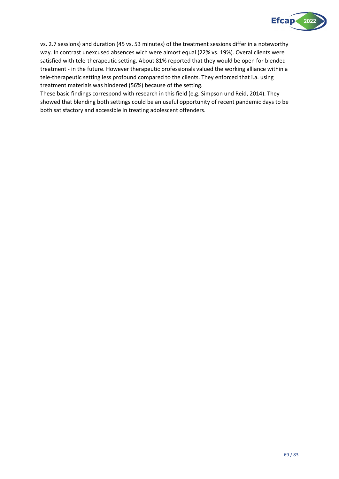

vs. 2.7 sessions) and duration (45 vs. 53 minutes) of the treatment sessions differ in a noteworthy way. In contrast unexcused absences wich were almost equal (22% vs. 19%). Overal clients were satisfied with tele-therapeutic setting. About 81% reported that they would be open for blended treatment - in the future. However therapeutic professionals valued the working alliance within a tele-therapeutic setting less profound compared to the clients. They enforced that i.a. using treatment materials was hindered (56%) because of the setting.

These basic findings correspond with research in this field (e.g. Simpson und Reid, 2014). They showed that blending both settings could be an useful opportunity of recent pandemic days to be both satisfactory and accessible in treating adolescent offenders.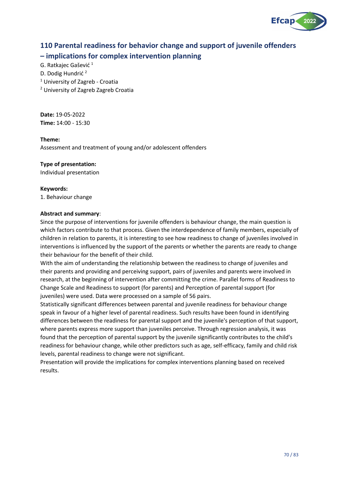

# **110 Parental readiness for behavior change and support of juvenile offenders – implications for complex intervention planning**

G. Ratkajec Gašević <sup>1</sup>

D. Dodig Hundrić <sup>2</sup>

<sup>1</sup> University of Zagreb - Croatia

<sup>2</sup> University of Zagreb Zagreb Croatia

**Date:** 19-05-2022 **Time:** 14:00 - 15:30

#### **Theme:**

Assessment and treatment of young and/or adolescent offenders

#### **Type of presentation:**

Individual presentation

#### **Keywords:**

1. Behaviour change

#### **Abstract and summary**:

Since the purpose of interventions for juvenile offenders is behaviour change, the main question is which factors contribute to that process. Given the interdependence of family members, especially of children in relation to parents, it is interesting to see how readiness to change of juveniles involved in interventions is influenced by the support of the parents or whether the parents are ready to change their behaviour for the benefit of their child.

With the aim of understanding the relationship between the readiness to change of juveniles and their parents and providing and perceiving support, pairs of juveniles and parents were involved in research, at the beginning of intervention after committing the crime. Parallel forms of Readiness to Change Scale and Readiness to support (for parents) and Perception of parental support (for juveniles) were used. Data were processed on a sample of 56 pairs.

Statistically significant differences between parental and juvenile readiness for behaviour change speak in favour of a higher level of parental readiness. Such results have been found in identifying differences between the readiness for parental support and the juvenile's perception of that support, where parents express more support than juveniles perceive. Through regression analysis, it was found that the perception of parental support by the juvenile significantly contributes to the child's readiness for behaviour change, while other predictors such as age, self-efficacy, family and child risk levels, parental readiness to change were not significant.

Presentation will provide the implications for complex interventions planning based on received results.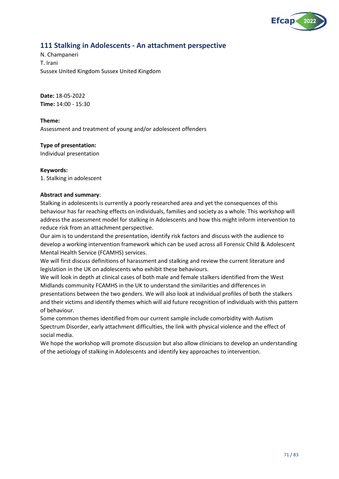

## **111 Stalking in Adolescents - An attachment perspective**

N. Champaneri T. Irani Sussex United Kingdom Sussex United Kingdom

**Date:** 18-05-2022 **Time:** 14:00 - 15:30

#### **Theme:**

Assessment and treatment of young and/or adolescent offenders

#### **Type of presentation:**

Individual presentation

#### **Keywords:**

of behaviour.

1. Stalking in adolescent

#### **Abstract and summary**:

Stalking in adolescents is currently a poorly researched area and yet the consequences of this behaviour has far reaching effects on individuals, families and society as a whole. This workshop will address the assessment model for stalking in Adolescents and how this might inform intervention to reduce risk from an attachment perspective.

Our aim is to understand the presentation, identify risk factors and discuss with the audience to develop a working intervention framework which can be used across all Forensic Child & Adolescent Mental Health Service (FCAMHS) services.

We will first discuss definitions of harassment and stalking and review the current literature and legislation in the UK on adolescents who exhibit these behaviours.

We will look in depth at clinical cases of both male and female stalkers identified from the West Midlands community FCAMHS in the UK to understand the similarities and differences in presentations between the two genders. We will also look at individual profiles of both the stalkers and their victims and identify themes which will aid future recognition of individuals with this pattern

Some common themes identified from our current sample include comorbidity with Autism Spectrum Disorder, early attachment difficulties, the link with physical violence and the effect of social media.

We hope the workshop will promote discussion but also allow clinicians to develop an understanding of the aetiology of stalking in Adolescents and identify key approaches to intervention.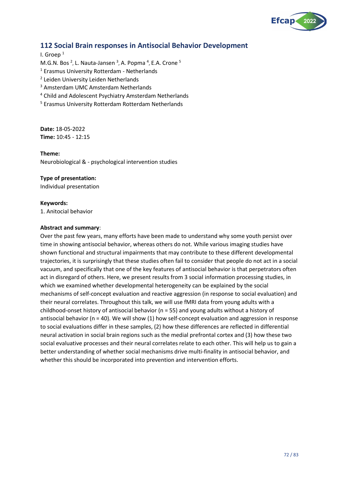

## **112 Social Brain responses in Antisocial Behavior Development**

I. Groep <sup>1</sup> M.G.N. Bos<sup>2</sup>, L. Nauta-Jansen<sup>3</sup>, A. Popma<sup>4</sup>, E.A. Crone<sup>5</sup> <sup>1</sup> Erasmus University Rotterdam - Netherlands <sup>2</sup> Leiden University Leiden Netherlands <sup>3</sup> Amsterdam UMC Amsterdam Netherlands <sup>4</sup> Child and Adolescent Psychiatry Amsterdam Netherlands

<sup>5</sup> Erasmus University Rotterdam Rotterdam Netherlands

**Date:** 18-05-2022 **Time:** 10:45 - 12:15

**Theme:** Neurobiological & - psychological intervention studies

#### **Type of presentation:**

Individual presentation

#### **Keywords:**

1. Anitocial behavior

#### **Abstract and summary**:

Over the past few years, many efforts have been made to understand why some youth persist over time in showing antisocial behavior, whereas others do not. While various imaging studies have shown functional and structural impairments that may contribute to these different developmental trajectories, it is surprisingly that these studies often fail to consider that people do not act in a social vacuum, and specifically that one of the key features of antisocial behavior is that perpetrators often act in disregard of others. Here, we present results from 3 social information processing studies, in which we examined whether developmental heterogeneity can be explained by the social mechanisms of self-concept evaluation and reactive aggression (in response to social evaluation) and their neural correlates. Throughout this talk, we will use fMRI data from young adults with a childhood-onset history of antisocial behavior (n = 55) and young adults without a history of antisocial behavior ( $n = 40$ ). We will show (1) how self-concept evaluation and aggression in response to social evaluations differ in these samples, (2) how these differences are reflected in differential neural activation in social brain regions such as the medial prefrontal cortex and (3) how these two social evaluative processes and their neural correlates relate to each other. This will help us to gain a better understanding of whether social mechanisms drive multi-finality in antisocial behavior, and whether this should be incorporated into prevention and intervention efforts.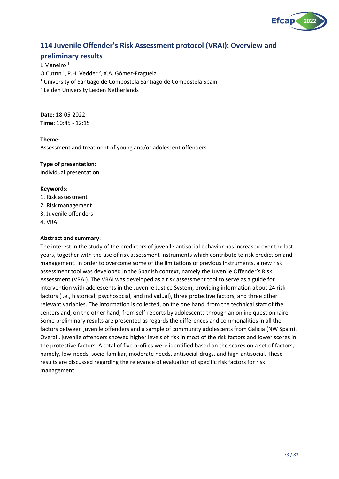

## **114 Juvenile Offender's Risk Assessment protocol (VRAI): Overview and**

## **preliminary results**

L Maneiro  $1$ O Cutrín<sup>1</sup>, P.H. Vedder<sup>2</sup>, X.A. Gómez-Fraguela<sup>1</sup>  $1$  University of Santiago de Compostela Santiago de Compostela Spain <sup>2</sup> Leiden University Leiden Netherlands

**Date:** 18-05-2022 **Time:** 10:45 - 12:15

#### **Theme:**

Assessment and treatment of young and/or adolescent offenders

#### **Type of presentation:**

Individual presentation

#### **Keywords:**

- 1. Risk assessment
- 2. Risk management
- 3. Juvenile offenders
- 4. VRAI

#### **Abstract and summary**:

The interest in the study of the predictors of juvenile antisocial behavior has increased over the last years, together with the use of risk assessment instruments which contribute to risk prediction and management. In order to overcome some of the limitations of previous instruments, a new risk assessment tool was developed in the Spanish context, namely the Juvenile Offender's Risk Assessment (VRAI). The VRAI was developed as a risk assessment tool to serve as a guide for intervention with adolescents in the Juvenile Justice System, providing information about 24 risk factors (i.e., historical, psychosocial, and individual), three protective factors, and three other relevant variables. The information is collected, on the one hand, from the technical staff of the centers and, on the other hand, from self-reports by adolescents through an online questionnaire. Some preliminary results are presented as regards the differences and commonalities in all the factors between juvenile offenders and a sample of community adolescents from Galicia (NW Spain). Overall, juvenile offenders showed higher levels of risk in most of the risk factors and lower scores in the protective factors. A total of five profiles were identified based on the scores on a set of factors, namely, low-needs, socio-familiar, moderate needs, antisocial-drugs, and high-antisocial. These results are discussed regarding the relevance of evaluation of specific risk factors for risk management.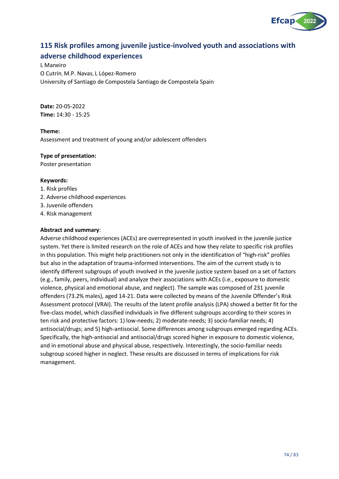

# **115 Risk profiles among juvenile justice-involved youth and associations with adverse childhood experiences**

L Maneiro O Cutrín, M.P. Navas, L López-Romero University of Santiago de Compostela Santiago de Compostela Spain

**Date:** 20-05-2022 **Time:** 14:30 - 15:25

**Theme:** Assessment and treatment of young and/or adolescent offenders

#### **Type of presentation:**

Poster presentation

#### **Keywords:**

- 1. Risk profiles
- 2. Adverse childhood experiences
- 3. Juvenile offenders
- 4. Risk management

#### **Abstract and summary**:

Adverse childhood experiences (ACEs) are overrepresented in youth involved in the juvenile justice system. Yet there is limited research on the role of ACEs and how they relate to specific risk profiles in this population. This might help practitioners not only in the identification of "high-risk" profiles but also in the adaptation of trauma-informed interventions. The aim of the current study is to identify different subgroups of youth involved in the juvenile justice system based on a set of factors (e.g., family, peers, individual) and analyze their associations with ACEs (i.e., exposure to domestic violence, physical and emotional abuse, and neglect). The sample was composed of 231 juvenile offenders (73.2% males), aged 14-21. Data were collected by means of the Juvenile Offender's Risk Assessment protocol (VRAI). The results of the latent profile analysis (LPA) showed a better fit for the five-class model, which classified individuals in five different subgroups according to their scores in ten risk and protective factors: 1) low-needs; 2) moderate-needs; 3) socio-familiar needs; 4) antisocial/drugs; and 5) high-antisocial. Some differences among subgroups emerged regarding ACEs. Specifically, the high-antisocial and antisocial/drugs scored higher in exposure to domestic violence, and in emotional abuse and physical abuse, respectively. Interestingly, the socio-familiar needs subgroup scored higher in neglect. These results are discussed in terms of implications for risk management.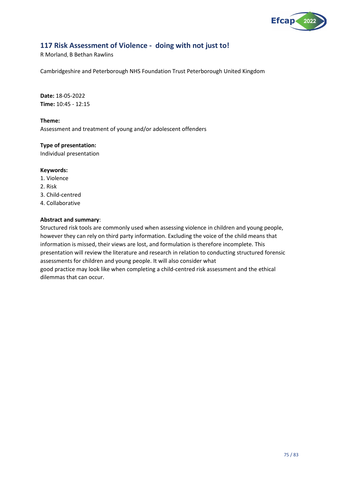

# **117 Risk Assessment of Violence - doing with not just to!**

R Morland, B Bethan Rawlins

Cambridgeshire and Peterborough NHS Foundation Trust Peterborough United Kingdom

**Date:** 18-05-2022 **Time:** 10:45 - 12:15

**Theme:**

Assessment and treatment of young and/or adolescent offenders

**Type of presentation:**

Individual presentation

#### **Keywords:**

- 1. Violence
- 2. Risk
- 3. Child-centred
- 4. Collaborative

#### **Abstract and summary**:

Structured risk tools are commonly used when assessing violence in children and young people, however they can rely on third party information. Excluding the voice of the child means that information is missed, their views are lost, and formulation is therefore incomplete. This presentation will review the literature and research in relation to conducting structured forensic assessments for children and young people. It will also consider what good practice may look like when completing a child-centred risk assessment and the ethical dilemmas that can occur.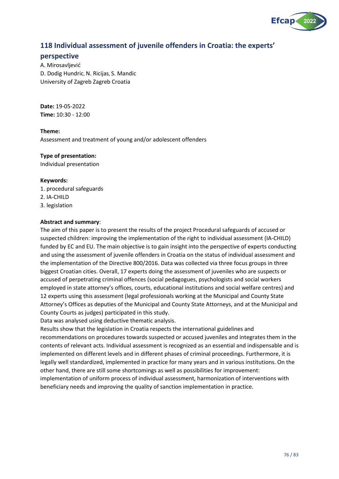

## **118 Individual assessment of juvenile offenders in Croatia: the experts'**

#### **perspective**

A. Mirosavljević D. Dodig Hundric, N. Ricijas, S. Mandic University of Zagreb Zagreb Croatia

**Date:** 19-05-2022 **Time:** 10:30 - 12:00

**Theme:** Assessment and treatment of young and/or adolescent offenders

#### **Type of presentation:**

Individual presentation

#### **Keywords:**

- 1. procedural safeguards
- 2. IA-CHILD

3. legislation

#### **Abstract and summary**:

The aim of this paper is to present the results of the project Procedural safeguards of accused or suspected children: improving the implementation of the right to individual assessment (IA-CHILD) funded by EC and EU. The main objective is to gain insight into the perspective of experts conducting and using the assessment of juvenile offenders in Croatia on the status of individual assessment and the implementation of the Directive 800/2016. Data was collected via three focus groups in three biggest Croatian cities. Overall, 17 experts doing the assessment of juveniles who are suspects or accused of perpetrating criminal offences (social pedagogues, psychologists and social workers employed in state attorney's offices, courts, educational institutions and social welfare centres) and 12 experts using this assessment (legal professionals working at the Municipal and County State Attorney's Offices as deputies of the Municipal and County State Attorneys, and at the Municipal and County Courts as judges) participated in this study.

Data was analysed using deductive thematic analysis.

Results show that the legislation in Croatia respects the international guidelines and recommendations on procedures towards suspected or accused juveniles and integrates them in the contents of relevant acts. Individual assessment is recognized as an essential and indispensable and is implemented on different levels and in different phases of criminal proceedings. Furthermore, it is legally well standardized, implemented in practice for many years and in various institutions. On the other hand, there are still some shortcomings as well as possibilities for improvement: implementation of uniform process of individual assessment, harmonization of interventions with

beneficiary needs and improving the quality of sanction implementation in practice.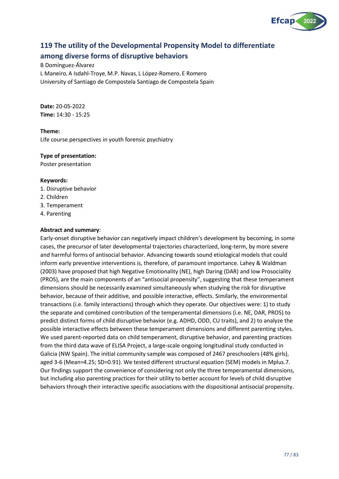

## **119 The utility of the Developmental Propensity Model to differentiate**

## **among diverse forms of disruptive behaviors**

B Domínguez-Álvarez

L Maneiro, A Isdahl-Troye, M.P. Navas, L López-Romero, E Romero University of Santiago de Compostela Santiago de Compostela Spain

**Date:** 20-05-2022 **Time:** 14:30 - 15:25

#### **Theme:**

Life course perspectives in youth forensic psychiatry

#### **Type of presentation:**

Poster presentation

#### **Keywords:**

- 1. Disruptive behavior
- 2. Children
- 3. Temperament
- 4. Parenting

#### **Abstract and summary**:

Early-onset disruptive behavior can negatively impact children's development by becoming, in some cases, the precursor of later developmental trajectories characterized, long-term, by more severe and harmful forms of antisocial behavior. Advancing towards sound etiological models that could inform early preventive interventions is, therefore, of paramount importance. Lahey & Waldman (2003) have proposed that high Negative Emotionality (NE), high Daring (DAR) and low Prosociality (PROS), are the main components of an "antisocial propensity", suggesting that these temperament dimensions should be necessarily examined simultaneously when studying the risk for disruptive behavior, because of their additive, and possible interactive, effects. Similarly, the environmental transactions (i.e. family interactions) through which they operate. Our objectives were: 1) to study the separate and combined contribution of the temperamental dimensions (i.e. NE, DAR, PROS) to predict distinct forms of child disruptive behavior (e.g. ADHD, ODD, CU traits), and 2) to analyze the possible interactive effects between these temperament dimensions and different parenting styles. We used parent-reported data on child temperament, disruptive behavior, and parenting practices from the third data wave of ELISA Project, a large-scale ongoing longitudinal study conducted in Galicia (NW Spain). The initial community sample was composed of 2467 preschoolers (48% girls), aged 3-6 (Mean=4.25; SD=0.91). We tested different structural equation (SEM) models in Mplus.7. Our findings support the convenience of considering not only the three temperamental dimensions, but including also parenting practices for their utility to better account for levels of child disruptive behaviors through their interactive specific associations with the dispositional antisocial propensity.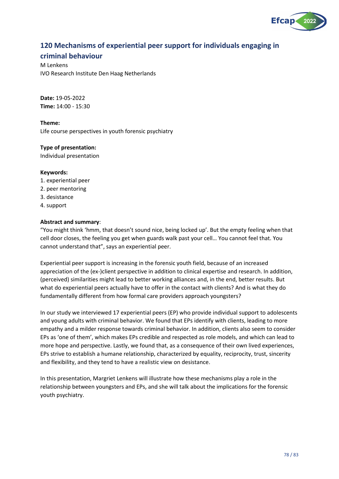

# **120 Mechanisms of experiential peer support for individuals engaging in**

## **criminal behaviour**

M Lenkens IVO Research Institute Den Haag Netherlands

**Date:** 19-05-2022 **Time:** 14:00 - 15:30

**Theme:** Life course perspectives in youth forensic psychiatry

**Type of presentation:**

Individual presentation

#### **Keywords:**

- 1. experiential peer
- 2. peer mentoring
- 3. desistance
- 4. support

#### **Abstract and summary**:

"You might think 'hmm, that doesn't sound nice, being locked up'. But the empty feeling when that cell door closes, the feeling you get when guards walk past your cell… You cannot feel that. You cannot understand that", says an experiential peer.

Experiential peer support is increasing in the forensic youth field, because of an increased appreciation of the (ex-)client perspective in addition to clinical expertise and research. In addition, (perceived) similarities might lead to better working alliances and, in the end, better results. But what do experiential peers actually have to offer in the contact with clients? And is what they do fundamentally different from how formal care providers approach youngsters?

In our study we interviewed 17 experiential peers (EP) who provide individual support to adolescents and young adults with criminal behavior. We found that EPs identify with clients, leading to more empathy and a milder response towards criminal behavior. In addition, clients also seem to consider EPs as 'one of them', which makes EPs credible and respected as role models, and which can lead to more hope and perspective. Lastly, we found that, as a consequence of their own lived experiences, EPs strive to establish a humane relationship, characterized by equality, reciprocity, trust, sincerity and flexibility, and they tend to have a realistic view on desistance.

In this presentation, Margriet Lenkens will illustrate how these mechanisms play a role in the relationship between youngsters and EPs, and she will talk about the implications for the forensic youth psychiatry.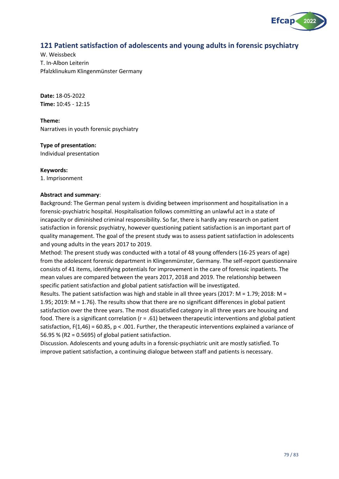

## **121 Patient satisfaction of adolescents and young adults in forensic psychiatry**

W. Weissbeck T. In-Albon Leiterin Pfalzklinukum Klingenmünster Germany

**Date:** 18-05-2022 **Time:** 10:45 - 12:15

**Theme:** Narratives in youth forensic psychiatry

**Type of presentation:** Individual presentation

**Keywords:**

1. Imprisonment

#### **Abstract and summary**:

Background: The German penal system is dividing between imprisonment and hospitalisation in a forensic-psychiatric hospital. Hospitalisation follows committing an unlawful act in a state of incapacity or diminished criminal responsibility. So far, there is hardly any research on patient satisfaction in forensic psychiatry, however questioning patient satisfaction is an important part of quality management. The goal of the present study was to assess patient satisfaction in adolescents and young adults in the years 2017 to 2019.

Method: The present study was conducted with a total of 48 young offenders (16-25 years of age) from the adolescent forensic department in Klingenmünster, Germany. The self-report questionnaire consists of 41 items, identifying potentials for improvement in the care of forensic inpatients. The mean values are compared between the years 2017, 2018 and 2019. The relationship between specific patient satisfaction and global patient satisfaction will be investigated.

Results. The patient satisfaction was high and stable in all three years (2017: M = 1.79; 2018: M = 1.95; 2019: M = 1.76). The results show that there are no significant differences in global patient satisfaction over the three years. The most dissatisfied category in all three years are housing and food. There is a significant correlation (r = .61) between therapeutic interventions and global patient satisfaction,  $F(1,46) = 60.85$ ,  $p < .001$ . Further, the therapeutic interventions explained a variance of 56.95 % (R2 = 0.5695) of global patient satisfaction.

Discussion. Adolescents and young adults in a forensic-psychiatric unit are mostly satisfied. To improve patient satisfaction, a continuing dialogue between staff and patients is necessary.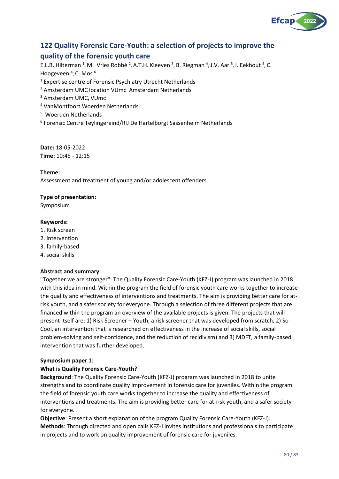

# **122 Quality Forensic Care-Youth: a selection of projects to improve the**

## **quality of the forensic youth care**

E.L.B. Hilterman <sup>1</sup>, M. Vries Robbè <sup>2</sup>, A.T.H. Kleeven <sup>3</sup>, B. Riegman <sup>4</sup>, J.V. Aar <sup>5</sup>, I. Eekhout <sup>4</sup>, C. Hoogeveen<sup>4</sup>, C. Mos<sup>6</sup>

- <sup>1</sup> Expertise centre of Forensic Psychiatry Utrecht Netherlands
- <sup>2</sup> Amsterdam UMC location VUmc Amsterdam Netherlands
- <sup>3</sup> Amsterdam UMC, VUmc
- <sup>4</sup> VanMontfoort Woerden Netherlands
- 5 Woerden Netherlands
- 6 Forensic Centre Teylingereind/RIJ De Hartelborgt Sassenheim Netherlands

**Date:** 18-05-2022 **Time:** 10:45 - 12:15

#### **Theme:**

Assessment and treatment of young and/or adolescent offenders

#### **Type of presentation:**

Symposium

#### **Keywords:**

- 1. Risk screen
- 2. intervention
- 3. family-based
- 4. social skills

#### **Abstract and summary**:

"Together we are stronger": The Quality Forensic Care-Youth (KFZ-J) program was launched in 2018 with this idea in mind. Within the program the field of forensic youth care works together to increase the quality and effectiveness of interventions and treatments. The aim is providing better care for atrisk youth, and a safer society for everyone. Through a selection of three different projects that are financed within the program an overview of the available projects is given. The projects that will present itself are: 1) Risk Screener – Youth, a risk screener that was developed from scratch, 2) So-Cool, an intervention that is researched on effectiveness in the increase of social skills, social problem-solving and self-confidence, and the reduction of recidivism) and 3) MDFT, a family-based intervention that was further developed.

#### **Symposium paper 1**:

#### **What is Quality Forensic Care-Youth?**

**Background**: The Quality Forensic Care-Youth (KFZ-J) program was launched in 2018 to unite strengths and to coordinate quality improvement in forensic care for juveniles. Within the program the field of forensic youth care works together to increase the quality and effectiveness of interventions and treatments. The aim is providing better care for at-risk youth, and a safer society for everyone.

**Objective**: Present a short explanation of the program Quality Forensic Care-Youth (KFZ-J). **Methods**: Through directed and open calls KFZ-J invites institutions and professionals to participate in projects and to work on quality improvement of forensic care for juveniles.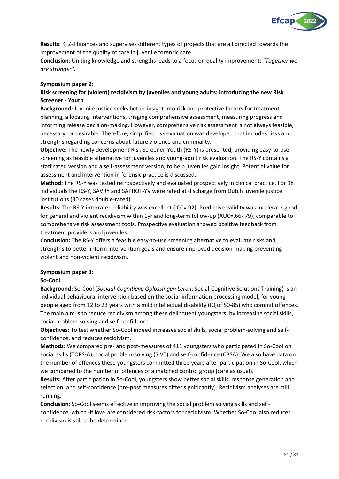

**Results**: KFZ-J finances and supervises different types of projects that are all directed towards the improvement of the quality of care in juvenile forensic care.

**Conclusion**: Uniting knowledge and strengths leads to a focus on quality improvement: *"Together we are stronger".*

#### **Symposium paper 2**:

#### **Risk screening for (violent) recidivism by juveniles and young adults: introducing the new Risk Screener - Youth**

**Background:** Juvenile justice seeks better insight into risk and protective factors for treatment planning, allocating interventions, triaging comprehensive assessment, measuring progress and informing release decision-making. However, comprehensive risk assessment is not always feasible, necessary, or desirable. Therefore, simplified risk evaluation was developed that includes risks and strengths regarding concerns about future violence and criminality.

**Objective:** The newly development Risk Screener-Youth (RS-Y) is presented, providing easy-to-use screening as feasible alternative for juveniles and young-adult risk evaluation. The RS-Y contains a staff rated version and a self-assessment version, to help juveniles gain insight. Potential value for assessment and intervention in forensic practice is discussed.

**Method:** The RS-Y was tested retrospectively and evaluated prospectively in clinical practice. For 98 individuals the RS-Y, SAVRY and SAPROF-YV were rated at discharge from Dutch juvenile justice institutions (30 cases double-rated).

**Results:** The RS-Y interrater-reliability was excellent (ICC=.92). Predictive validity was moderate-good for general and violent recidivism within 1yr and long-term follow-up (AUC=.66-.79), comparable to comprehensive risk assessment tools. Prospective evaluation showed positive feedback from treatment providers and juveniles.

**Conclusion:** The RS-Y offers a feasible easy-to-use screening alternative to evaluate risks and strengths to better inform intervention goals and ensure improved decision-making preventing violent and non-violent recidivism.

#### **Symposium paper 3**:

#### **So-Cool**

**Background:** So-Cool (*Sociaal-Cognitieve Oplossingen Leren*; Social-Cognitive Solutions Training) is an individual behavioural intervention based on the social-information processing model, for young people aged from 12 to 23 years with a mild intellectual disability (IQ of 50-85) who commit offences. The main aim is to reduce recidivism among these delinquent youngsters, by increasing social skills, social problem-solving and self-confidence.

**Objectives:** To test whether So-Cool indeed increases social skills, social problem-solving and selfconfidence, and reduces recidivism.

**Methods**: We compared pre- and post-measures of 411 youngsters who participated in So-Cool on social skills (TOPS-A), social problem-solving (SIVT) and self-confidence (CBSA). We also have data on the number of offences these youngsters committed three years after participation in So-Cool, which we compared to the number of offences of a matched control group (care as usual).

**Results:** After participation in So-Cool, youngsters show better social skills, response generation and selection, and self-confidence (pre-post measures differ significantly). Recidivism analyses are still running.

**Conclusion**: So-Cool seems effective in improving the social problem solving skills and selfconfidence, which -if low- are considered risk-factors for recidivism. Whether So-Cool also reduces recidivism is still to be determined.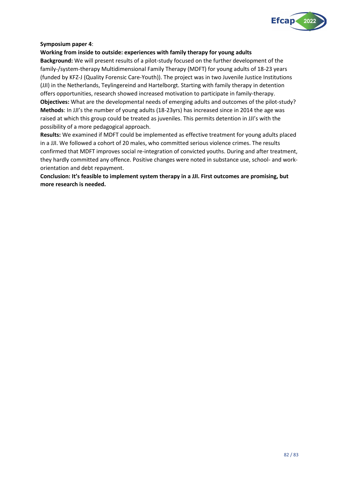

#### **Symposium paper 4**:

#### **Working from inside to outside: experiences with family therapy for young adults**

**Background:** We will present results of a pilot-study focused on the further development of the family-/system-therapy Multidimensional Family Therapy (MDFT) for young adults of 18-23 years (funded by KFZ-J (Quality Forensic Care-Youth)). The project was in two Juvenile Justice Institutions (JJI) in the Netherlands, Teylingereind and Hartelborgt. Starting with family therapy in detention offers opportunities, research showed increased motivation to participate in family-therapy. **Objectives:** What are the developmental needs of emerging adults and outcomes of the pilot-study? **Methods**: In JJI's the number of young adults (18-23yrs) has increased since in 2014 the age was raised at which this group could be treated as juveniles. This permits detention in JJI's with the possibility of a more pedagogical approach.

**Results:** We examined if MDFT could be implemented as effective treatment for young adults placed in a JJI. We followed a cohort of 20 males, who committed serious violence crimes. The results confirmed that MDFT improves social re-integration of convicted youths. During and after treatment, they hardly committed any offence. Positive changes were noted in substance use, school- and workorientation and debt repayment.

**Conclusion: It's feasible to implement system therapy in a JJI. First outcomes are promising, but more research is needed.**